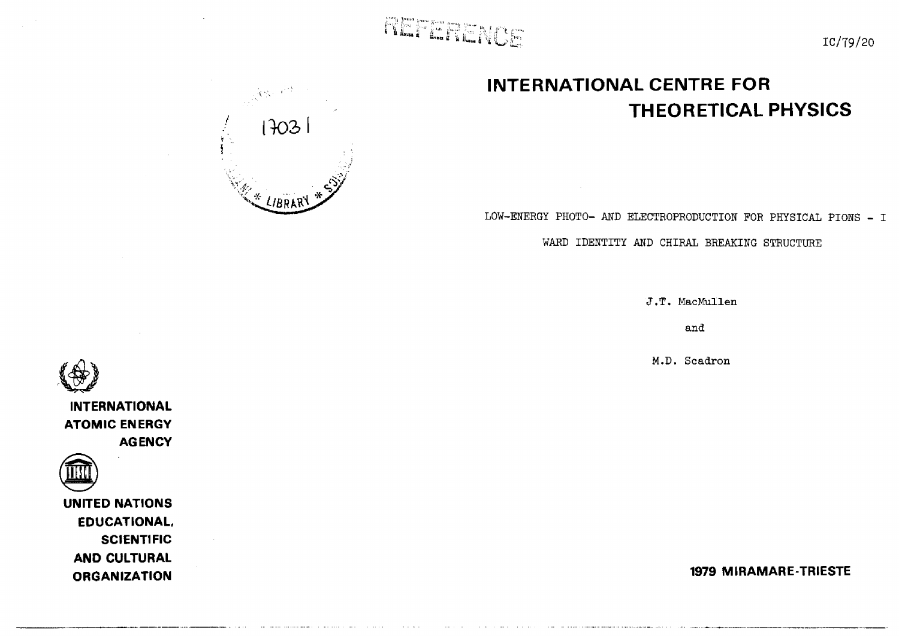



# **INTERNATIONAL CENTRE FOR THEORETICAL PHYSICS**

LOW-ENERGY PHOTO- AND ELECTROPRODUCTION FOR PHYSICAL PIONS - I

WARD IDENTITY AND CHIRAL BREAKING STRUCTURE

J.T, MacMullen

and

M.D. Scadron

**1979 MIRAMARE-TRIESTE** 



**INTERNATIONAL ATOMIC ENERGY AGENCY**



**UNITED NATIONS EDUCATIONAL, SCIENTIFIC AND CULTURAL ORGANIZATION**

IC/T9/20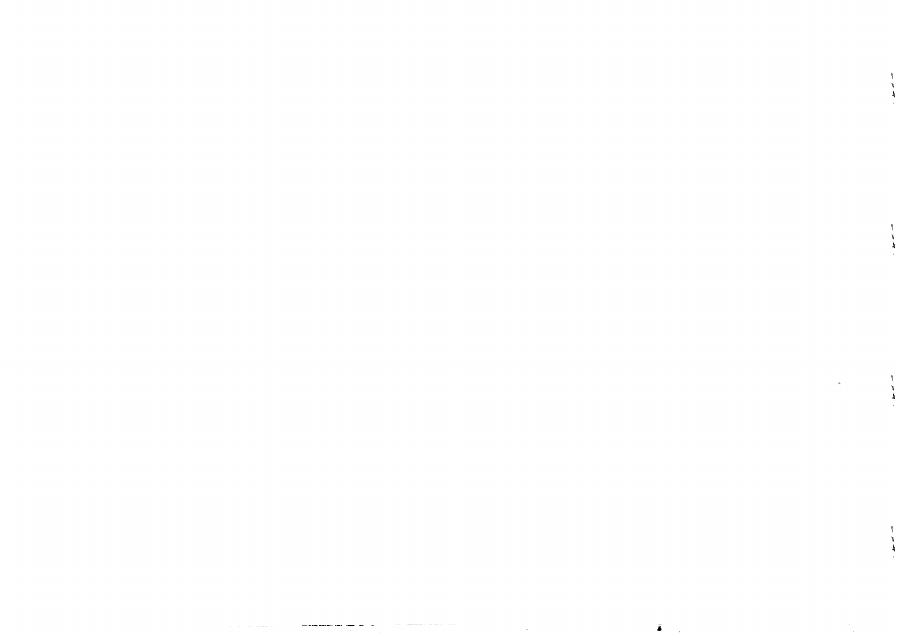л.  $\mathbf{A}$ 

 $\Lambda$ 

 $\frac{3}{4}$ 

 $\epsilon_{\rm r}$ 

 $\tilde{\pmb{a}}$  .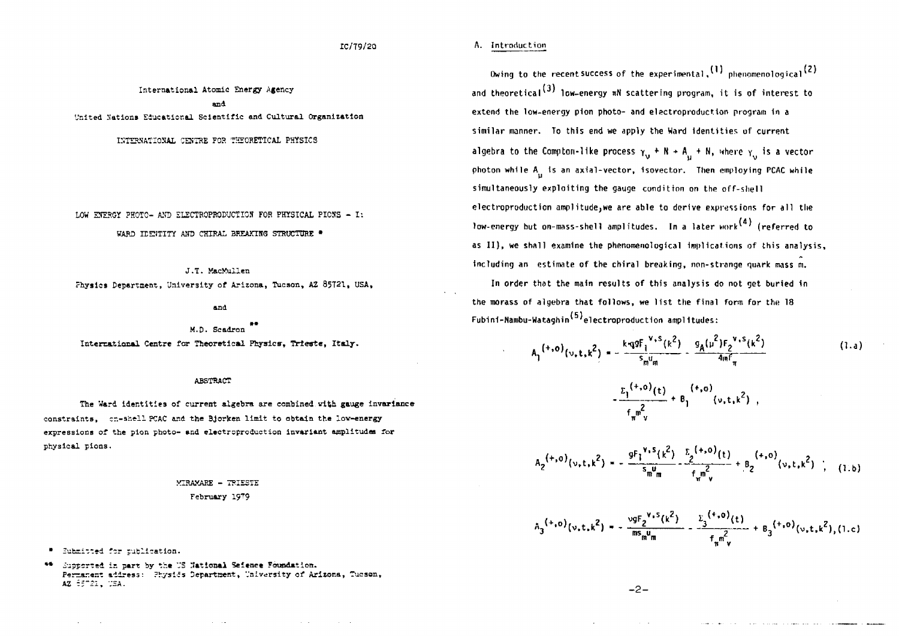**International Atomic Energy Agency and United Nations Eiucatior.al Scientific and Cultural Organization**

#### **HITSRSATIONAL CENTRE FOR THEORETICAL PHYSICS**

LOW ENERGY PHOTO- AND ELECTROPRODUCTION FOR PHYSICAL PIONS - I: WARD IDENTITY AND CHIRAL BREAKING STRUCTURE \*

J.T. MacVuilen Physics Department, University of Arizona, Tucson, AZ 85721, USA,

and

M.D. Scadron International Centre far Theoretical Physics-, Trieste, Italy.

#### ABSTRACT

The Ward identities of current algebra are combined with gauge invariance constraints, cr.-ahell PCAC and the BJorken limit to obtain the lov-energy expressions of the pion photo- and electroproduction invariant amplitudes for physical pions.

> YIRAXARE - TRIESTE February I9T9

Submitted for rublication.

Supported in part by the US National Seience Foundation. Permanent address: Physics Department, University of Arizona, Tucson, AZ 55721, VSA.

 $\sim 100$  km s  $^{-1}$ 

**XC/T9/20 A. Introduction**

Owing to the recent success of the experimental,<sup>(1)</sup> phenomenological<sup>(2)</sup> and theoretical<sup>(3)</sup> low-energy #N scattering program, it is of interest to **extend the low-energy pion photo- and elsctroproduction program in a similar manner. To this end we apply the Ward identities of current algebra to the Compton-like process**  $\gamma_{\mathbf{u}} + \mathbf{N} + \mathbf{A}_{\mathbf{u}} + \mathbf{N}$ **, where**  $\gamma_{\mathbf{u}}$  **is a vector** photon while A<sub>11</sub> is an axial-vector, isovector. Then employing PCAC while **simultaneously exploiting the gauge condition on the off-shell electroproductfon amplitude,we are able to derive expressions for all the** low-energy but on-mass-shell amplitudes. In a later work<sup>(4)</sup> (referred to **as II), we shall examine the phenomenological implications of this analysis, including an estimate of the chiral breaking, non-strange quark mass m.**

**In order that the main results of this analysis do not get buried In** the morass of algebra that follows, we list the final form for the 18 **Fubini-Nambu-Wataghin\* 'electroproduction amplitudes:**

$$
A_1^{(+,o)}(v,t,k^2) = -\frac{kq\sigma F_1^{v,s}(k^2)}{s_m u_m} - \frac{g_A(\mu^2)F_2^{v,s}(k^2)}{4m f_m}
$$
 (1.a)

$$
-\frac{\Sigma_1^{(+,0)}(t)}{f_{\pi}^{m}v}+B_1^{(+,0)}(v,t,k^2),
$$

$$
A_{2}^{(+,0)}(v,t,k^{2}) = -\frac{gF_{1}^{v,s}(k^{2})}{s_{m}^{v}m} - \frac{\sum_{\substack{2 \\ m \text{ odd}}}^{(+,0)}(t)}{f_{m}^{2}} + \frac{g^{(+,0)}(v,t,k^{2})}{s_{2}} \quad , \quad (1.b)
$$

$$
\hat{h}_3^{(+,0)}(\nu,t,k^2) = -\frac{\nu g F_2^{\nu,s}(k^2)}{\mathrm{ms}_m u_m} - \frac{\Sigma_3^{(+,0)}(t)}{f_m^{\frac{2}{m}}v} + B_3^{(+,0)}(\nu,t,k^2), (1,c)
$$

**-2-**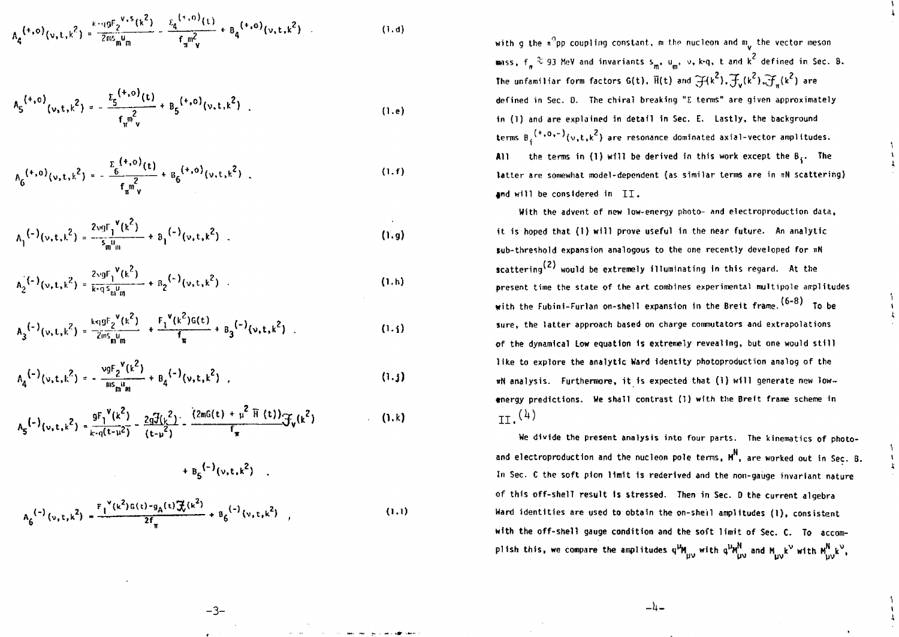$$
A_{4}^{(+,o)}(\nu,t,k^{2}) = \frac{k \cdot \eta g F_{2}^{\nu,s}(k^{2})}{2m s_{m}^{u}m} - \frac{\epsilon_{4}^{(+,o)}(t)}{f_{m}^{m}q} + B_{4}^{(+,o)}(\nu,t,k^{2})
$$
 (1. d)

$$
A_{S}^{(+,0)}(v,t,k^{2}) = -\frac{\sum_{s=1}^{(+,0)}(t)}{f_{W}^{m}v} + B_{S}^{(+,0)}(v,t,k^{2})
$$
 (1.e)

$$
A_6^{(+,0)}(\nu,t,k^2) = -\frac{\sum_{6}^{(+,0)}(t)}{f_m^2 \nu} + B_6^{(+,0)}(\nu,t,k^2) \quad . \tag{1.5}
$$

$$
A_1^{(-)}(\nu, t, k^2) = \frac{2\nu g F_1^{\nu}(k^2)}{s_m u_m} + B_1^{(-)}(\nu, t, k^2) .
$$
 (1.9)

$$
A_{2}^{(-)}(\nu, t, k^{2}) = \frac{2\nu g F_{1}^{\nu}(k^{2})}{k+g S_{\mu}^{\nu} g} + B_{2}^{(-)}(\nu, t, k^{2})
$$
 (1.h)

$$
A_{3}^{(-)}(\nu, t, k^{2}) = \frac{k \pi g E_{2}^{\nu}(k^{2})}{2m S_{m}^{U}m} + \frac{F_{1}^{\nu}(k^{2})G(t)}{f_{\pi}} + B_{3}^{(-)}(\nu, t, k^{2})
$$
 (1-1)

$$
A_{4}^{(-)}(\nu, t, k^{2}) = -\frac{\nu g F_{2}^{\nu}(k^{2})}{\text{res}_{m}^{u} u_{m}} + B_{4}^{(-)}(\nu, t, k^{2})
$$
 (1.3)

$$
A_{5}^{(-)}(\nu,t,k^{2}) = \frac{gF_{1}^{\nu}(k^{2})}{k-q(t-\mu^{2})} - \frac{2gH_{k}^{2}}{(t-\mu^{2})} - \frac{(2mG(t) + \mu^{2} \bar{H}(t))}{f_{\pi}}f_{\nu}(k^{2})
$$
(1,k)

$$
+ B_5^{(-)}(\nu, t, k^2) .
$$
  

$$
A_6^{(-)}(\nu, t, k^2) = \frac{F_1^{\nu}(k^2)G(t) - g_A(t)\mathcal{J}_\nu(k^2)}{2f_\pi} + B_6^{(-)}(\nu, t, k^2) ,
$$
 (1.1)

**CO** 

with g the  $n^0$ pp coupling constant, m the nucleon and m<sub>u</sub> the vector meson **K**  $\mathbf{R}$  **F**  $\mathbf{R}$   $\mathbf{S}$  93 MeV and invariants s<sub>m</sub>, u<sub>m</sub>, v, k-q, t and k<sup>2</sup> defined in Sec. 8. **The unfamiliar form factors G(t), H(t) and ^Rk <sup>2</sup> },^^ <sup>2</sup> )^^ <sup>2</sup> ) are defined in Sec. 0. The chiral breaking "Z terms" are given approximately fn (1) and are explained in detail in Sec. E. Lastly, the background terms B.**  $(*,0,-)$   $(v,t,k^2)$  are resonance dominated axial-vector amplitudes. **All the terms in (1) will be derived in this work except the B.. The latter are somewhat model-dependent (as similar terms are in nN scattering) |nd will be considered in II .**

**With the advent of new low-energy photo- and electroproduction data, U is hoped that (1) will prove useful in the near future. An analytic** sub-threshold expansion analogous to the one recently developed for  $\pi N$ **scattering<sup>(2)</sup> would be extremely illuminating in this regard. At the present time the state of the art combines experimental multipole amplitudes with the Fubini-Furlan on-shell expansion In the Breit frame.<sup>1</sup> ' To be sure, the latter approach based on charge commutators and extrapolations of the dynamical Low equation 1s extremely revealing, but one would still like to explore the analytic Ward identity photoproduction analog of the wN analysis. Furthermore, it is expected that (1) will generate new lowtnergy predictions. We shall contrast (1) with the Breit frame scheme in**  $_{II.}^{(4)}$ 

**We divide the present analysis into four parts. The kinematics of photoand electroproduction and the nucleon pole terns, M , are worked out in Sec. B. In Sec. C the soft pion Unit 1s rederived and the non-gauge invariant nature of this off-shell result Is stressed. Then in Sec. D the current algebra Ward identities are used to obtain the on-sheil amplitudes {!). consistent with the off-she11 gauge condition and the soft limit of Sec. C. To accomplish this, we compare the amplitudes**  $q^{\mu}M_{\mu\nu}$  **with**  $q^{\mu}M_{\mu\nu}$  **and**  $M_{\mu\nu}k^{\nu}$  **with**  $M_{\mu\nu}^{N}k^{\nu}$ **,** 

 $-3 -4-$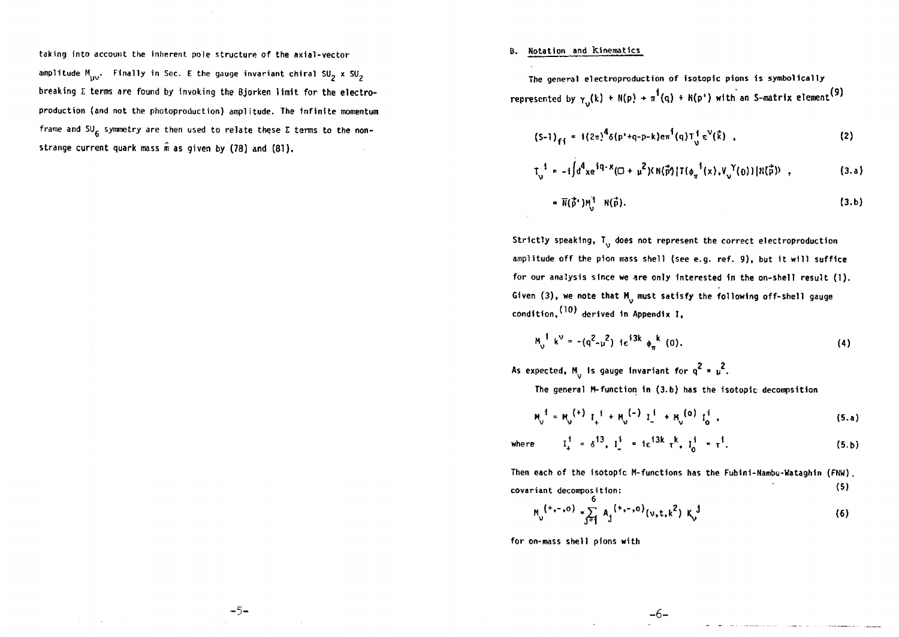taking into account the inherent pole structure of the axial-vector amplitude  $M_{\text{max}}$ . Finally in Sec. E the gauge invariant chiral SU<sub>2</sub> x SU<sub>2</sub> breaking I terms are found by invoking the Bjorken **limit** for the electroproduction (and not the photoproduction) amplitude. The infinite momentum frame and SU<sub>6</sub> symmetry are then used to relate these E terms to the nonstrange current quark mass  $\hat{m}$  as given by  $(78)$  and  $(81)$ .

-5-

**Contractor** 

# B. Notation and kinematics

The general electroproduction of Isotopic pions is symbolically  $1_{\ell-1}$  ,  $1_{\ell-1}$ ,  $1_{\ell+1}$ ,  $1_{\ell+2}$ ,  $1_{\ell-3}$ ,  $1_{\ell-2}$ ,  $1_{\ell-3}$ ,  $1_{\ell-4}$ ,  $1_{\ell-5}$ represented by  $y^h(x)$  +  $y^h(x)$  and  $y^h(x)$  with an  $\frac{1}{2}$  with an  $\frac{1}{2}$ 

$$
(5-1)fi = i(2\pi)4 \delta(p'+q-p-k) e \pi^{\dagger}(q) T_{\nu}^{\dagger} \epsilon^{\nu}(\vec{k})
$$
 (2)

$$
T_{\nu}^{\ 1} = -i \int d^{4}x e^{i\mathbf{q} \cdot \mathbf{x}} (\Box + \mu^{2}) \langle N(\vec{p})| T(\phi_{\pi}^{\ 1}(x), V_{\nu}^{\ \gamma}(0))| R(\vec{p}) \rangle , \qquad (3. a)
$$

$$
= \overline{N}(\vec{p}^{\prime})M_{\nu}^{\dagger}N(\vec{p}). \qquad (3.b)
$$

Strictly speaking,  $\mathbb{T}_{\text{U}}$  does not represent the correct electroproduction amplitude off the pion mass shell (see e.g. ref. 9), but it will suffice for our analysis since we are only interested in the on-shell result (1). Given (3), we note that  $M_{\text{V}}$  must satisfy the following off-shell gauge condition.<sup>(10)</sup> derived in Appendix I,

$$
M_{v}^{1} k^{v} = -(q^{2} - \mu^{2}) i \epsilon^{i3k} \phi_{\pi}^{k} (0).
$$
 (4)

As expected, M<sub>y</sub> is gauge invariant for  $q^2 = \mu^2$ .

The general W-function in (3-b) has the Isotopic decompsition

$$
M_{U}^{i} = M_{U}^{i+1} I_{+}^{i} + M_{U}^{i-1} I_{-}^{i} + M_{U}^{i0} I_{0}^{i}, \qquad (5.a)
$$

where 
$$
I_{+}^{1} = \delta^{13}
$$
,  $I_{-}^{1} = i\epsilon^{13k} \tau^{k}$ ,  $I_{0}^{1} = \tau^{1}$ . (5.b)

Then each of the isotopic M-functions has the Fubini-Nambu-Wataghin (FNW). (5)

covariant decomposition: 6

$$
M_{v}^{(+,-,0)} = \sum_{j=1}^{n} A_{j}^{(+,-,0)}(v,t,k^{2}) K_{v}^{j}
$$
 (6)

-6-

for on-mass shell pions with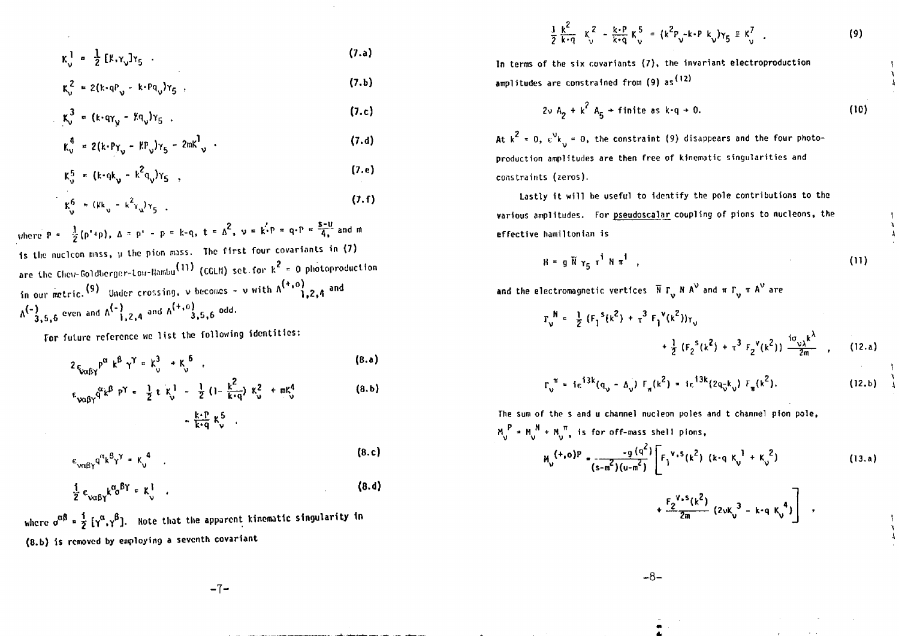$$
\frac{1}{2} \frac{k^2}{k \cdot q} \kappa_v^2 - \frac{k \cdot P}{k \cdot q} \kappa_v^5 = \{ k^2 P_v - k \cdot P \kappa_v \} \gamma_5 \equiv K_v^7
$$
 (9)

$$
K_{v}^{1} = \frac{1}{2} [K_{v} \gamma_{v}] \gamma_{5} \tag{7. a}
$$

(7.b)  $K_0^2 = 2(k \cdot qP_0 - k \cdot PQ_0)Y_5$ ,

$$
\kappa_{\nu}^{3} = (\kappa \cdot \mathbf{q} \mathbf{y}_{\nu} - \mu \mathbf{q}_{\nu}) \mathbf{y}_{5} \tag{7.c}
$$

$$
K_{v}^{4} = 2(k \cdot P_{y} - \mu P_{v}) \gamma_{5} - 2mk_{v}^{1} \tag{7.4}
$$

$$
K_{v}^{5} = (k \cdot qk_{v} - k^{2}q_{v})\gamma_{5} \qquad (7. e)
$$

$$
K_{v}^{6} = (k k_{v} - k^{2} \gamma_{v}) \gamma_{5} \tag{7.6}
$$

where  $P = \frac{1}{2}(p' + p)$ ,  $\Delta = p' - p = k - q$ ,  $t = \Delta^2$ ,  $v = k'P = q - P = \frac{s - u}{4}$  and m is the nucleon mass,  $\mu$  the pion mass. The first four covariants in (7) are the Chev-Goldberger-Low-Nambu $^{(111)}$  (CGLM) set.for k $^{\epsilon}$  = 0 photoproduction in our metric.(9) Under crossing,  $\vee$  becomes -  $\vee$  with  $\wedge^{(1+\lceil 0 \rceil)},$   $\geq,$   $\wedge$  and  $\frac{1}{3,5,6}$  even and  $\Lambda^{17}$ , 2,4 and  $\Lambda^{17}$   $\frac{3}{3,5,6}$  <sup>odd.</sup>

**Tor future reference we list the following identities:**

$$
2\epsilon_{\text{V}\alpha\beta\gamma}P^{\alpha}k^{\beta}\gamma^{\gamma} = k_{\nu}^{3} + k_{\nu}^{6} \qquad (8.5)
$$

$$
E_{V\alpha\beta\gamma}q^{k\beta}p^{\gamma} = \frac{1}{2} \pm k_{v}^{1} - \frac{1}{2} (1 - \frac{k^{2}}{k \cdot q}) k_{v}^{2} + m_{v}^{k4}
$$
 (8.6)

$$
\epsilon_{\text{vngy}} q^{\alpha} k^{\beta} \gamma^{\gamma} = K_{v}^{4}
$$
 (8.c)

$$
\frac{1}{2} \epsilon_{\text{V}\alpha\beta\gamma} k^{\alpha} \sigma^{\beta\gamma} = k_{\text{V}}^{\text{I}} \quad . \tag{8.4}
$$

**where**  $\sigma^{\alpha\beta} = \frac{1}{2} [\gamma^{\alpha}, \gamma^{\beta}]$ **.** Note that the apparent kinematic singularity in **(8.b) is removed by employing a seventh covariant**

**In terras of the six covariants (7), the invariant electroproduction** amplitudes are constrained from (9) as<sup>(12)</sup>

$$
2v A2 + k2 A5 + finite as k-q + 0.
$$
 (10)

At  $k^2 = 0$ ,  $\varepsilon^V k$  = 0, the constraint (9) disappears and the four photo**production amplitudes are then free of kinematic singularities and constraints (zeros).**

**Lastly ft will be useful to identify the pole contributions to the various amplitudes. For pseudoscaiar coupling of pions to nucleons, the effective hamiltonian is**

$$
H = g \overline{H} \gamma_5 \tau^1 N \pi^1 , \qquad (11)
$$

and the electromagnetic vertices  $\, {\widetilde{\mathrm{N}}} \, \, \Gamma_{\!\scriptscriptstyle{_{\mathrm{N}}}} \, {\mathsf{N}}} \, {\mathsf{A}}^\mathsf{V} \,$  and  $\, {\mathsf{m}} \, \, \Gamma_{\!\scriptscriptstyle{_{\mathrm{M}}}} \, {\mathsf{n}}} \, {\mathsf{A}}^\mathsf{V} \,$  are

$$
\Gamma_{v}^{N} = \frac{1}{2} (F_1^{s} (k^2) + \tau^3 F_1^{V} (k^2)) \gamma_{v} + \frac{1}{2} (F_2^{s} (k^2) + \tau^3 F_2^{V} (k^2)) \frac{i \sigma_{v \lambda} k^{\lambda}}{2m} , \qquad (12.a)
$$

$$
r_v^{\pi} = i e^{i3k} (q_v - \Delta_v) F_{\pi}(k^2) = i c^{i3k} (2q_v k_v) F_{\pi}(k^2).
$$
 (12.b)

**The sum of the s and u channel nucleon poles and t channel pion pole,**

 $M_{1}$ <sup>P</sup> =  $M_{1}$ <sup>N</sup> +  $M_{1}$ <sup>N</sup>, is for off-mass shell pions.  $M_{v}^{(+,o)P} = \frac{-g(q^{2})}{(s-m^{2})(u-m^{2})} \left[ F_{1}^{v,s}(k^{2}) (k-qK_{v}^{+} + K_{v}^{2}) \right]$ 

$$
+\frac{F_2^{\nu,s}(k^2)}{2m}(2\nu K_0^3-k\cdot q K_0^4)\Bigg] ,
$$

 $(13.a)$ 

**-7-**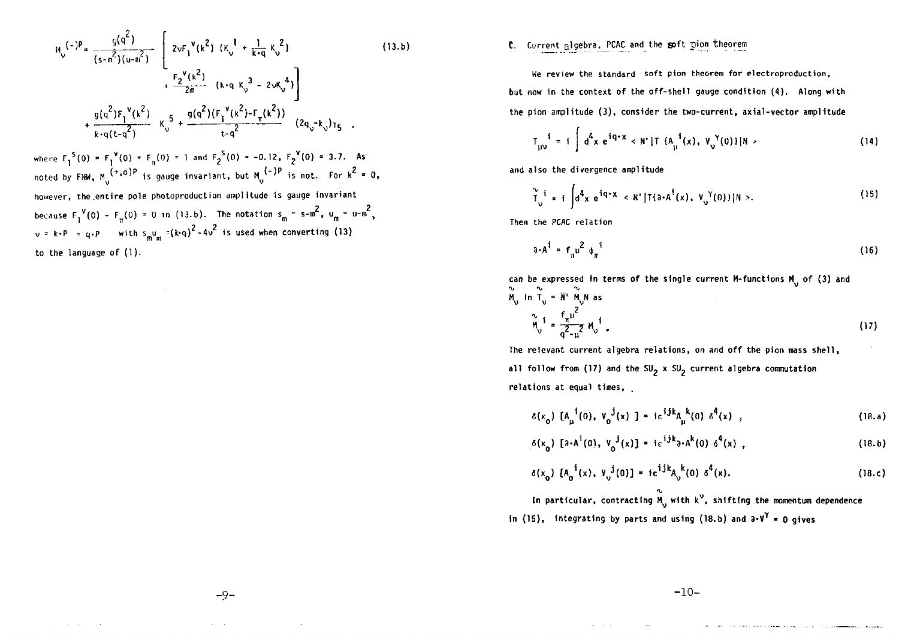$$
\mu_{v}^{(-)\rho} = \frac{g(q^{2})}{(s-m^{2})(u-m^{2})} \left[ 2vF_{1}{}^{V}(k^{2}) (K_{v}^{1} + \frac{1}{k+q} K_{v}^{2}) + \frac{F_{2}{}^{V}(k^{2})}{2m} (k-q K_{v}^{3} - 2vK_{v}^{4}) \right]
$$
(13.6)  
+  $\frac{g(q^{2})F_{1}{}^{V}(k^{2})}{k+q(t-q^{2})} K_{v}^{5} + \frac{g(q^{2})(F_{1}{}^{V}(k^{2}) - F_{\pi}(k^{2}))}{t-q^{2}} (2q_{v}K_{v})\gamma_{5}.$   
where  $F_{1}{}^{5}(0) = F_{1}{}^{V}(0) = F_{\pi}(0) = 1$  and  $F_{2}{}^{5}(0) = -0.12$ ,  $F_{2}{}^{V}(0) = 3.7$ . As noted by FfWH,  $M_{v}{}^{(+,0)P}$  is gauge invariant, but  $M_{v}{}^{(-)P}$  is not. For  $k^{2} = 0$ , however, the entire pole photoproduction amplitude is gauge invariant because  $F_{1}{}^{V}(0) - F_{\pi}(0) = 0$  in (13.6). The notation  $s_{m} = s-m^{2}$ ,  $u_{m} = u-m^{2}$ ,  $v = k \cdot P = q \cdot P$  with  $s_{m}u_{m} = (kq)^{2} - 4v^{2}$  is used when converting (13)

 $-9-$ 

to the language of (1).

C. Current algebra, PCAC and the soft pion theorem

We review the standard soft pion theorem for electroproduction, but now in the context of the off-shell gauge condition (4). Along with the pion amplitude (3), consider the two-current, axial-vector amplitude

$$
T_{\mu\nu}^{\ \ i} = i \int d^4x \ e^{iq \cdot x} < N \ |T \ \{A_{\mu}^{\ \ i}(x), \ V_{\nu}^{\ \gamma}(0)\} |N \rangle
$$
 (14)

**and also the divergence amplitude**

$$
\bar{\tau}_{v}^{i} = i \int d^{4}x e^{i\mathbf{q} \cdot \mathbf{x}} \times N' [\mathbf{T} \{ a \cdot A^{i}(x), V_{v}^{\gamma}(0) \} | N \rangle.
$$
 (15)

**Then the PCAC relation**

$$
\partial \cdot A^{\dagger} = f_{\pi} u^2 \phi_{\pi}^{\dagger} \tag{16}
$$

can be expressed in terms of the single current M-functions M<sub>1</sub> of (3) and  $\frac{1}{2}$  fn  $\frac{1}{2}$  =  $\frac{1}{2}$  V<sub>V</sub><sub>N</sub> as  $M_{1}$ <sup>1</sup> =  $\frac{\pi^{n}}{2}$   $\pi^{n}$  $(17)$ 

**The relevant current algebra relations, on and off the pion mass shell,** all follow from (17) and the SU<sub>2</sub> x SU<sub>2</sub> current algebra commutation **relations at equal times,**

$$
\delta(x_0) \left[A_{\mu}^{-1}(0), \, v_0^{-j}(x) \right] = i \epsilon^{ijk} A_{\mu}^{-k}(0) \, \delta^4(x) \quad , \tag{18.4}
$$

$$
\delta(x_0) \left[ \partial A^{\dagger}(0), Y_0^{\dagger}(x) \right] = i \varepsilon^{\dagger j k} \partial A^k(0) \delta^4(x) , \qquad (18.6)
$$

$$
\delta(x_0) [\lambda_0^{-1}(x), V_v^{-1}(0)] = i \epsilon^{ijk} A_v^{k}(0) \delta^{4}(x).
$$
 (18.c)

**In particular, contracting M with k<sup>v</sup>, shifting the momentum dependence in (15), integrating by parts and using (18.b) and 3>V<sup>Y</sup> - 0 gives**

**-10-**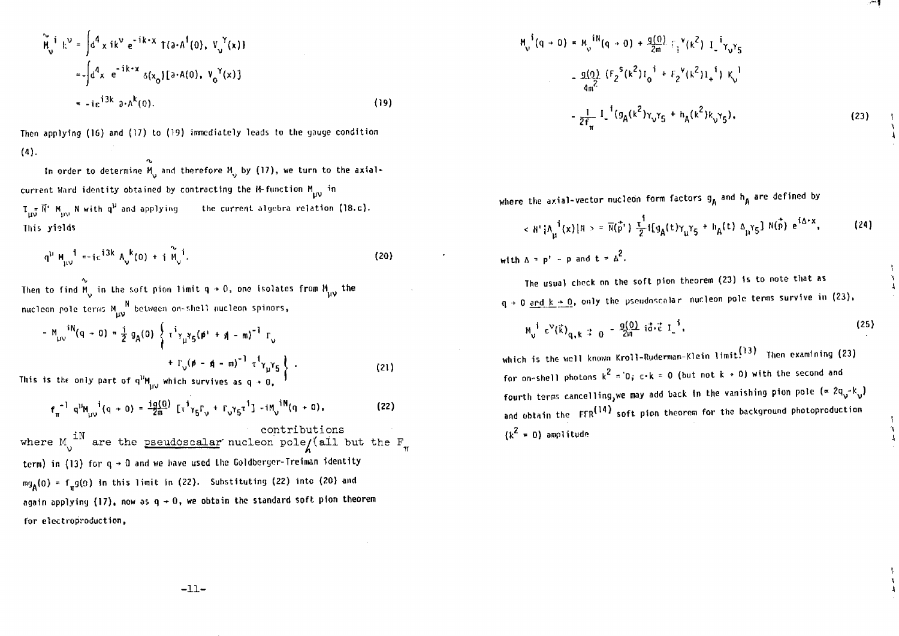$$
\int_{M}^{N} i k^{V} = \int d^{4}x i k^{V} e^{-ik \cdot x} T(\partial A^{1}(0), V_{V}^{\gamma}(x))
$$
  
= 
$$
\int d^{4}x e^{-ik \cdot x} \delta(x_{0}) [ \partial A(0), V_{0}^{\gamma}(x) ]
$$
  
= 
$$
-i \epsilon^{ijk} \partial A^{k}(0).
$$
 (19)

**Then applying (1G) and (17) to (19) immediately leads to the gauge condition (1).**

In order to determine  $M^{\circ}_{\nu}$  and therefore  $M^{\circ}_{\nu}$  by (17), we turn to the axial\* **current Ward identity obtained by contracting the M-function M<sub>uV</sub> in I • IT' M H with q<sup>y</sup> and applying the current altjcbra relation (18.c). This yields**

$$
q^{\mu} M_{\mu\nu}^{\dagger} = -ic^{i3k} A_{\nu}^{k}(0) + i M_{\nu}^{\dagger}.
$$
 (20)

Then to find  $\tilde{H}$  in the soft pion limit  $q \neq 0$ , one isolates from  $H_{110}$  the **nuclcon role term; H between on-shell nucleon spinors,**

$$
- M_{\mu\nu}^{10}(q + 0) = \frac{1}{2} g_A(0) \left\{ \tau^{\frac{7}{4}} \gamma_{\mu} \gamma_5(p^{\mu} + q - m)^{-1} \Gamma_{\nu} + \Gamma_{\nu}(p - q - m)^{-1} \tau^{\frac{1}{4}} \gamma_{\mu} \gamma_5 \right\}.
$$
\n
$$
+ \Gamma_{\nu}(p - q - m)^{-1} \tau^{\frac{1}{4}} \gamma_{\mu} \gamma_5
$$
\n
$$
= (21)
$$

This is the only part of  $q^H M_{\mu\nu}$  which survives as  $q \rightarrow 0$ ,

$$
f_{\pi}^{-1} q^{\mu} M_{\mu\nu}^{\ \ i}(q+0) = \frac{i q(0)}{2\pi} \left[ \tau^{\dot{i}} \gamma_5 \Gamma_{\nu} + \Gamma_{\nu} \gamma_5 \tau^{\dot{i}} \right] - i M_{\nu}^{\ \dot{i}N}(q+0), \tag{22}
$$

contributions<br>where M<sub>.</sub><sup>iN</sup> are the <u>pseudoscalar</u> nucleon pole/(all **are the pseudoscalar" nucleon** pole/< all but the F term) in (13) for  $q \rightarrow 0$  and we have used the Goldberger-Treiman identity  $mg_A(0) = f_{\pi}g(0)$  in this limit in (22). Substituting (22) into (20) and again applying (17), now as  $q \rightarrow 0$ , we obtain the standard soft pion theorem for electroproduction,

$$
M_{v}^{i}(q + 0) = M_{v}^{iH}(q + 0) + \frac{q(0)}{2m} \Gamma_{i}^{v}(k^{2}) I_{-}^{i} \gamma_{v} \gamma_{5}
$$
  

$$
- \frac{q(0)}{4m^{2}} (F_{2}^{s}(k^{2}) I_{0}^{i} + F_{2}^{v}(k^{2}) I_{+}^{i}) K_{v}^{1}
$$
  

$$
- \frac{1}{2f_{\pi}} I_{-}^{i}(g_{A}(k^{2}) \gamma_{v} \gamma_{5} + h_{A}(k^{2}) k_{v} \gamma_{5}).
$$
 (23)

where the axial-vector nucleon form factors  $g_{\overline{A}}$  and  $h_{\overline{A}}$  are defined by

$$
< N^{\dagger} \{ \Lambda_{\mu}^{\ \dagger} (x) \} N > = \overline{N} (\overrightarrow{p}) \ \frac{\tau^{\dagger}}{2} i [g_A(t) \gamma_{\mu} \gamma_5 + h_A(t) \ \Delta_{\mu} \gamma_5] \ N(\overrightarrow{p}) \ e^{i \Delta \tau x}, \qquad (24)
$$

with  $\Delta = p^+ - p$  and t =  $\Delta^2$ .

The usual chock on the soft pion theorem (23) is to note that as  $q + 0$  and  $k + 0$ , only the pseudoscalar nucleon pole terms survive in (23),

$$
M_{\nu}^{\ \ i} c^{\nu}(\vec{k})_{q,k} \div 0 - \frac{g(0)}{2m} i\vec{\sigma} \cdot \vec{\epsilon} L^{\ \ i}_{\ \ \nu}, \tag{25}
$$

which is the well known Kroll-Ruderman-Klein limit<sup>[13]</sup> Then examining (23) for on-shell photons  $k^2 = 0$ ,  $c \cdot k = 0$  (but not  $k \rightarrow 0$ ) with the second and fourth terms cancelling, we may add back in the vanishing pion pole  $(\alpha \otimes q_{\mathbf{y}} \cdot \mathbf{k}_{\mathbf{y}})$ and obtain the FFR<sup>(14)</sup> soft pion theorem for the background photoproduction  $(k^2 = 0)$  amplitude

-11-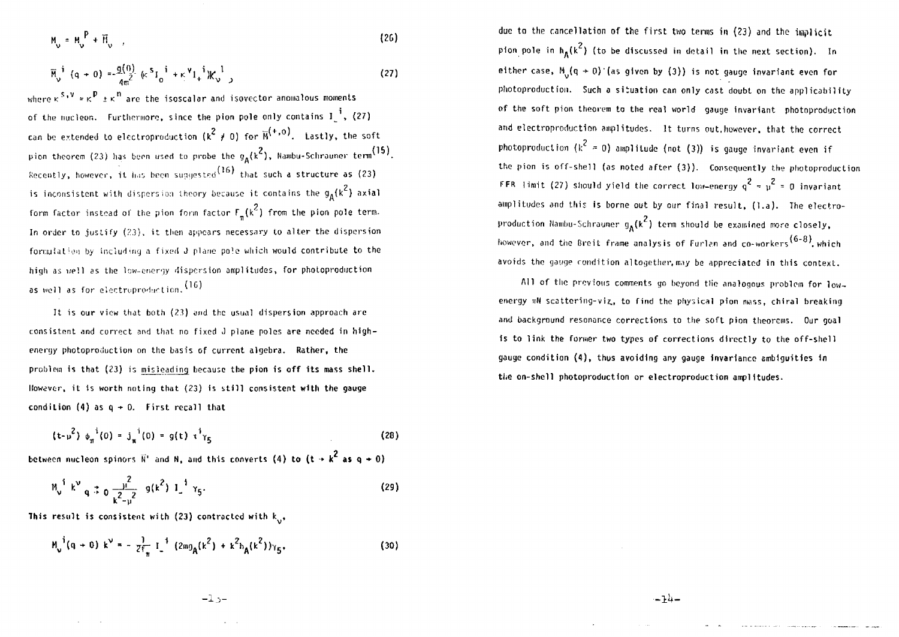$$
M_{\nu} = M_{\nu}^{\overline{P}} + H_{\nu} \tag{26}
$$

$$
\overline{M}_{\nu}^{\ \ i} \ (q+0) = -\frac{g(0)}{4\pi^2} \ (s^5 I_0^{\ \ i} + s^3 I_+^{\ i} ) \zeta_{\nu}^{\ \ l} \tag{27}
$$

where  $K^{5, V} = K^{\mathbf{p}} \pm K^{\mathbf{n}}$  are the isoscalar and isovector anomalous moments of the nucleon. Furthermore, since the pion pole only contains  $I^{-1}$ , (27) can be extended to electroproduction (k<sup>e</sup> # 0) for M<sup>virov</sup>. Lastly, the soft pion theorem (23) has been used to probe the  $g_h(k^2)$ , Nambu-Schrauner term<sup>(15)</sup>. Recently, however, it has been suggested  $(16)$  that such a structure as (23) is inconsistent with dispersion theory because it contains the  $g_n(k^2)$  axial form factor instead of the pion form factor  $F_n(k^2)$  from the pion pole term. In order to justify (23), it then appears necessary to alter the dispersion formulation by including a fixed J plane pole which would contribute to the high as well as the low-energy dispersion amplitudes, for photoproduction as well as for electroproduction.  $(16)$ 

It is our view that both (23) and the usual dispersion approach are consistent and correct and that no fixed J plane poles are needed in highenergy photoproduction on the basis of current algebra. Rather, the problem is that (23) is misleading because the pion is off its mass shell. However, it is worth noting that (23) is still consistent with the gauge condition (4) as  $q + 0$ . First recall that

$$
(t-\mu^2) \phi_{\pi}^{-1}(0) = j_{\pi}^{-1}(0) = g(t) \tau^{\dagger} \gamma_5
$$
 (28)

between nucleon spinors  $\overline{N}^1$  and N, and this converts (4) to  $(t \rightarrow k^2 \text{ as } q \rightarrow 0)$ 

$$
M_{\nu}^{\ \ i} \ k^{\nu} \ q \ \ddagger \ 0 \ \frac{1^2}{k^2 - \mu^2} \ q(k^2) \ 1 \ 1 \ \gamma_5. \tag{29}
$$

This result is consistent with (23) contracted with  $k_{\alpha}$ ,

 $\sim 100$ 

$$
M_{v}^{i}(q+0) k^{v} = -\frac{1}{2f_{\pi}} I_{\pi}^{i}(2mg_{A}(k^{2}) + k^{2}h_{A}(k^{2}))\gamma_{5},
$$
 (30)

due to the cancellation of the first two terms in (23) and the implicit pion pole in  $h_n(k^2)$  (to be discussed in detail in the next section). In either case,  $M_q(q + 0)$  (as given by (3)) is not gauge invariant even for photoproduction. Such a situation can only cast doubt on the applicability of the soft pion theorem to the real world gauge invariant photoproduction and electroproduction amplitudes. It turns out,however, that the correct photoproduction  $(k^2 = 0)$  amplitude (not (3)) is gauge invariant even if the pion is off-shell (as noted after (3)). Consequently the pliotoproduction FFR limit (27) should yield the correct low-energy  $q^2 = u^2 = 0$  invariant amplitudes and this is borne out by our final result, (l.a). The electroproduction Nambu-Schrauner  $g_A(k^2)$  term should be examined more closely, however, and the Breit frame analysis of Furlan and co-workers<sup>(6-8)</sup>, which avoids the gauge condition altogether, may be appreciated in this context.

All of the previous comments go beyond the analogous problem for  $1_{0M-}$ energy  $\pi N$  scattering-viz, to find the physical pion mass, chiral breaking and background resonance corrections to the soft pion theorems. Our goal is to link the former two types of corrections directly to the off-shell gouge condition (4), thus avoiding any gauge invariance ambiguities in tlie on-shell photoproduction or electroproduction amplitudes.

 $-14-$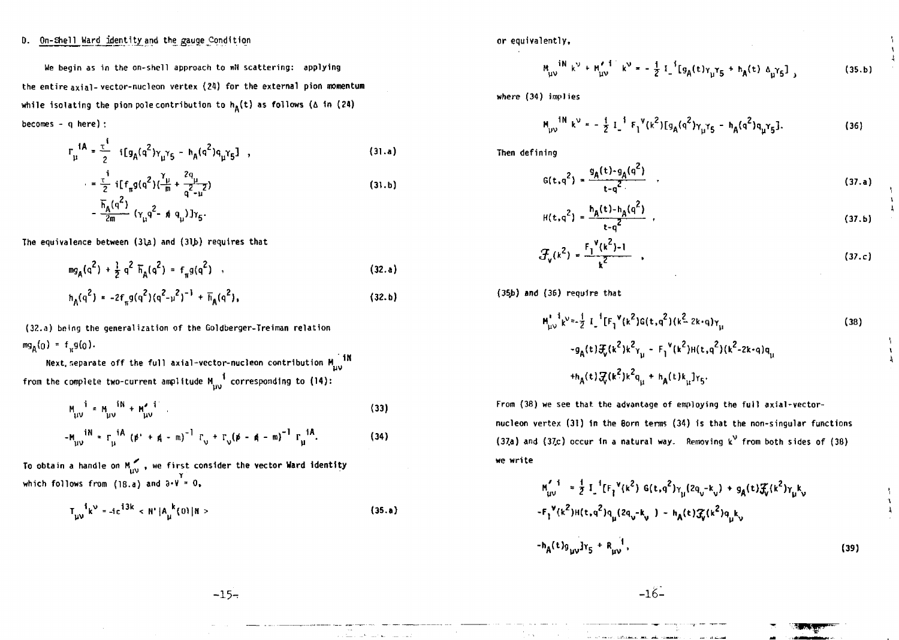# D. On-Shell Ward identity and the gauge Condition

We begin as in the on-shell approach to mN scattering: applying the entire axial- vector-nucieon vertex (24) for the external pion momentum while isolating the pion pole contribution to  $h_A(t)$  as follows ( $\Delta$  in (24) becomes - q here) ;

$$
r_{\mu}^{1A} = \frac{\tau^1}{2} \quad i\left[g_A(q^2)\gamma_{\mu}\gamma_5 - h_A(q^2)q_{\mu}\gamma_5\right] \quad , \tag{31.a}
$$

$$
= \frac{\tau^i}{2} i [f_{\pi} g(q^2) (\frac{\gamma_{\mu}}{m} + \frac{2q_{\mu}}{q^2 - \mu^2})
$$
\n
$$
= \frac{\overline{h}_A(q^2)}{2m} (\gamma_{\mu} q^2 - A q_{\mu}) J \gamma_5.
$$
\n(31.b)

**The equivalence between {3\A) and (31J>) requires that**

$$
mg_A(q^2) + \frac{1}{2} q^2 \bar{h}_A(q^2) = f_{\pi}g(q^2) , \qquad (32.a)
$$

$$
h_{A}(q^{2}) = -2f_{\pi}g(q^{2})(q^{2}-y^{2})^{-1} + \overline{h}_{A}(q^{2}),
$$
\n(32.b)

**(32.a) bning the generalization of the Goldberger-Treiman relation**  $mg_A(0) = f_u^0(0)$ .

Next, separate off the full axial-vector-nucleon contribution  $M_{\text{in}}^{1}$ from the complete two-current amplitude  $M_{\mu\nu}^{-1}$  corresponding to (14):

$$
M_{\mu\nu}^{i} = M_{\mu\nu}^{iN} + M_{\mu\nu}^{i}
$$
 (33)

$$
-M_{\mu\nu}^{1N} = r_{\mu}^{1A} (\not p + \not q - m)^{-1} r_{\nu} + r_{\nu} (\not p - \not q - m)^{-1} r_{\mu}^{1A}.
$$
 (34)

To obtain a handle on  $M_{\mu\nu}$ , we first consider the vector Ward identity **which follows from (18.a) and 3-V - 0,**

$$
T_{\mu\nu}^{\ \ i}k^{\nu} = -ie^{i3k} < N^*|A_{\mu}^{\ k}(0)|N > \tag{35.a}
$$

or equivalently,

$$
M_{\mu\nu}^{10} k^{\nu} + M_{\mu\nu}^{11} k^{\nu} = -\frac{1}{2} I_{\mu}^{1} [g_A(t)\gamma_{\mu}\gamma_5 + h_A(t) \Delta_{\mu}\gamma_5] \tag{35.b}
$$

Å

where (34) implies

$$
M_{\mu\nu}^{1N} k^V = -\frac{i}{2} I_{-}^{1} F_1^{V}(k^2) [g_A(q^2) \gamma_{\mu} \gamma_5 - h_A(q^2) q_{\mu} \gamma_5]. \tag{36}
$$

Then defining

$$
G(t,q^2) = \frac{g_A(t) - g_A(q^2)}{t-q^2} \qquad (37. a)
$$

$$
H(t,q^2) = \frac{h_A(t) - h_A(q^2)}{t-q^2} \tag{37.6}
$$

$$
\mathcal{F}_{\mathbf{v}}(k^2) = \frac{F_1^{\mathbf{v}}(k^2) - 1}{k^2} \quad . \tag{37. c}
$$

(35b) and (36) require that

$$
M_{\mu\nu}^{i}{}_{k}^{j}v_{z-\frac{1}{2}}I_{-}^{i}[F_{1}^{\nu}(k^{2})G(t,q^{2})(k^{2}-2k\cdot q)\gamma_{\mu}\n+g_{A}(t)\mathcal{F}_{\nu}(k^{2})k^{2}\gamma_{\mu}-F_{1}^{\nu}(k^{2})H(t,q^{2})(k^{2}-2k\cdot q)q_{\mu}\n+h_{A}(t)\mathcal{F}_{\nu}(k^{2})k^{2}q_{\mu}+h_{A}(t)k_{\mu}]\gamma_{5}.
$$
\n(38)

**From (38) we see that the advantage of employing the full axial-vectornucleon vertex (31) in the Born terms (34) Is that the non-singular functions (37,a) and (37,c) occur in a natural way. Removing k<sup>v</sup> from both sides of (38) we write**

**-16-**

$$
M_{\mu\nu}^{\prime \, i} = \frac{1}{2} I_{\mu}^{\dagger} [F_{\mu}{}^{\nu} (k^{2}) G(t, q^{2}) \gamma_{\mu} (2q_{\nu} - k_{\nu}) + g_{A}(t) \mathcal{F}_{\nu} (k^{2}) \gamma_{\mu} k_{\nu} + F_{\mu}{}^{\nu} (k^{2}) H(t, q^{2}) q_{\mu} (2q_{\nu} - k_{\nu}) - h_{A}(t) \mathcal{F}_{\nu} (k^{2}) q_{\mu} k_{\nu}
$$
  
\n
$$
-h_{A}(t) g_{\mu\nu} J \gamma_{5} + R_{\mu\nu}^{\dagger} , \qquad (39)
$$

**-15 -**

للوابيد المساركة بالمت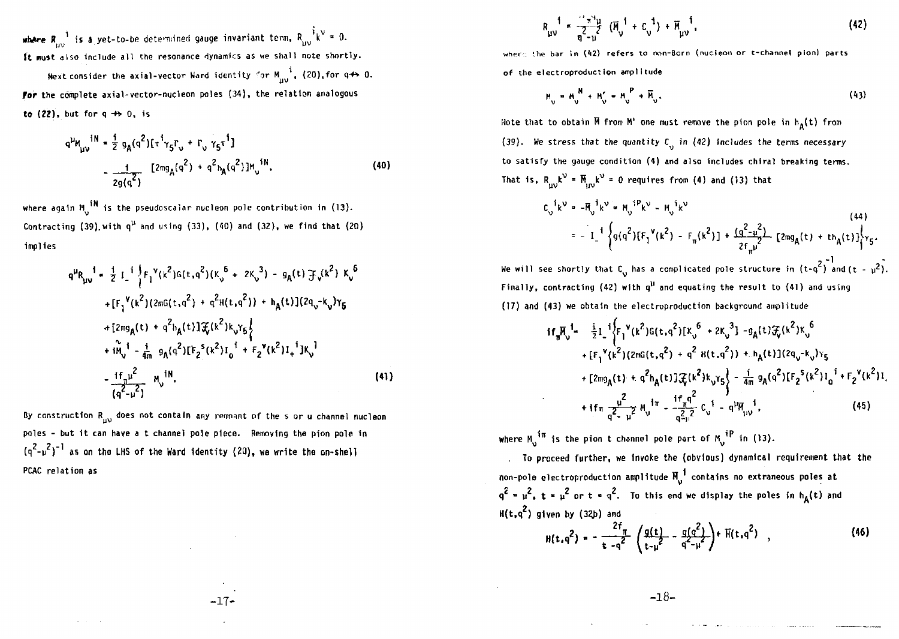where  $R_{\text{av}}^{\dagger}$  is a yet-to-be determined gauge invariant term,  $R_{\text{av}}^{\dagger} k^V = 0$ . It must also Include all the resonance dynamics as we shall note shortly.

Next consider the axial-vector Ward identity for  $M_{\text{H}\alpha}^{3}$ , (20), for q++ 0. *for* the complete axial-vector-nucleon poles (34), the relation analogous to  $(22)$ , but for  $q \rightarrow 0$ , is

$$
q^{\mu}M_{\mu\nu}^{1N} = \frac{i}{2} g_{A}(q^{2}) [\tau^{1} \gamma_{5} \Gamma_{\nu} + \Gamma_{\nu} \gamma_{5} \tau^{1}]
$$
  
 
$$
- \frac{1}{2g(q^{2})} [2mg_{A}(q^{2}) + q^{2}h_{A}(q^{2})]M_{\nu}^{1N}, \qquad (40)
$$

where again  $M_{\text{q}}^{1N}$  is the pseudoscalar nucleon pole contribution in (13). Contracting (39) with  $q^{\mu}$  and using (33), (40) and (32), we find that (20) Contracting (39).with q<sup>11</sup>

$$
q^{\mu}R_{\mu\nu}^{\ \ \ \tau} = \frac{1}{2} I_{\mu}^{\ \ \ \tau} \Big\{ F_{\mu}^{\ \ \nu} (k^{2}) G(t, q^{2}) (K_{\nu}^{\ \ 6} + 2K_{\nu}^{\ \ 3}) - g_{A}(t) \mathcal{F}_{\nu} (k^{2}) K_{\nu}^{\ \ 6}
$$
\n
$$
+ [F_{\mu}^{\ \ \nu} (k^{2}) (2\pi G(t, q^{2}) + q^{2} H(t, q^{2})) + h_{A}(t)] (2q_{\nu}^{\ \ k} \Big\} + i2m g_{A}(t) + q^{2} h_{A}(t) J \mathcal{F}_{\nu} (k^{2}) k_{\nu} \gamma_{5}^{\ \ \ \tau}
$$
\n
$$
+ i \mathcal{H}_{\nu}^{\ \ \tau} - \frac{1}{4m} g_{A}(q^{2}) [F_{2}^{\ \ \ \epsilon} (k^{2}) I_{0}^{\ \ \ \tau} + F_{2}^{\ \ \ \tau} (k^{2}) I_{+}^{\ \ \ \tau} J K_{\nu}^{\ \ \ \tau}
$$
\n
$$
- \frac{1 f_{\mu} \mu^{2}}{(q^{2} - \mu^{2})} M_{\nu}^{\ \ \tau} H_{\nu}^{\ \ \tau}
$$
\n
$$
(41)
$$

By construction  $R_{\text{av}}$  does not contain any remnant of the s or u channel nucleon poles - but it can have a t channel pole piece. Removing the pion pole in  $(q^2 - \mu^2)^{-1}$  as on the LHS of the Ward identity (20), we write the on-shell **PCAC relation as**

**-17 -**

$$
R_{\mu\nu}^{\quad \, \mathbf{i}} = \frac{1}{\eta^2 - \mu^2} \left( \overline{M}_{\nu}^{\quad \, \mathbf{i}} + C_{\nu}^{\quad \, \mathbf{i}} \right) + \overline{M}_{\mu\nu}^{\quad \, \mathbf{i}} \,, \tag{42}
$$

where the bar in (42) refers to non-Born (nucleon or t-channel pion) parts of the electroproduction amplitude

$$
M_{v} = M_{v}^{N} + M_{v}^{2} = M_{v}^{P} + \overline{M}_{v}.
$$
 (43)

Note that to obtain  $\overline{M}$  from  $M'$  one must remove the pion pole in  $h_{\Delta}(t)$  from (39). We stress that the quantity  $C_{\alpha}$  in (42) includes the terms necessary to satisfy the gauge condition (4) and also includes chiral breaking terms. That is,  $R_{\mu\nu} k^V = \overline{R}_{\mu\nu} k^V = 0$  requires from (4) and (13) that

$$
c_{v}^{i}k^{\nu} = -\overline{M}_{v}^{i}k^{\nu} = M_{v}^{i}P_{k}^{\nu} - M_{v}^{i}k^{\nu}
$$
\n
$$
= -I_{\perp}^{i} \left\{ g(q^{2})[F_{1}^{\nu}(k^{2}) - F_{\pi}(k^{2})] + \frac{(q^{2}-\mu^{2})}{2f_{\pi}\mu^{2}} [2mg_{A}(t) + th_{A}(t)] \right\}Y_{5}.
$$
\n(44)

We will see shortly that C<sub>1</sub>, has a complicated pole structure in  $\left({t-q}^2\right)^{-}$  and ( $t$  -Finally, contracting (42) with  $q^{\mu}$  and equating the result to (41) and using (17) and (43) we obtain the electroproduction background amplitude

$$
i f_{\pi} \overline{M}_{v}^{i} - \frac{i}{2} I_{-}{}^{i} \Big\{ F_{1}{}^{\nu}(k^{2}) G(t, q^{2}) [K_{v}^{6} + 2K_{v}^{3}] - g_{A}(t) \mathcal{F}_{v}(k^{2}) K_{v}^{6} + [F_{1}{}^{\nu}(k^{2}) (2mG(t, q^{2}) + q^{2} H(t, q^{2})) + h_{A}(t)] (2q_{v} - k_{v}) \gamma_{5} + [2m g_{A}(t) + q^{2} h_{A}(t)] \mathcal{F}_{v}(k^{2}) k_{v} \gamma_{5} - \frac{i}{4m} g_{A}(q^{2}) [F_{2}{}^{5}(k^{2}) I_{0}{}^{i} + F_{2}{}^{v}(k^{2}) I_{+} + i f_{\pi} \frac{\mu^{2}}{q^{2} - \mu^{2}} M_{v}^{i} \Big\} - \frac{i \pi}{q^{2} + \mu^{2}} C_{v}^{i} - q^{1} M_{\mu\nu}^{i} , \qquad (45)
$$

where  $\texttt{M}_{\textsc{q}}^{\texttt{1}\texttt{B}}$  is the pion t channel pole part of  $\texttt{M}_{\textsc{q}}^{\texttt{1}\texttt{P}}$  in (13).

To proceed further, we invoke the (obvious) dynamical requirement that the non-pole electroproduction amplitude  $M_{\nu}^{-1}$  contains no extraneous poles at  $q^2 = \mu^2$ ,  $t = \mu^2$  or  $t = q^2$ . To this end we display the poles in  $h_A(t)$  and  $H(t, q^2)$  given by (32b) and

$$
H(t,q^{2}) = -\frac{2f_{\pi}}{t-q^{2}} \left( \frac{q(t)}{t-q^{2}} - \frac{q(q^{2})}{q^{2}-\mu^{2}} \right) + \overline{H}(t,q^{2}) , \qquad (46)
$$

**-18 -**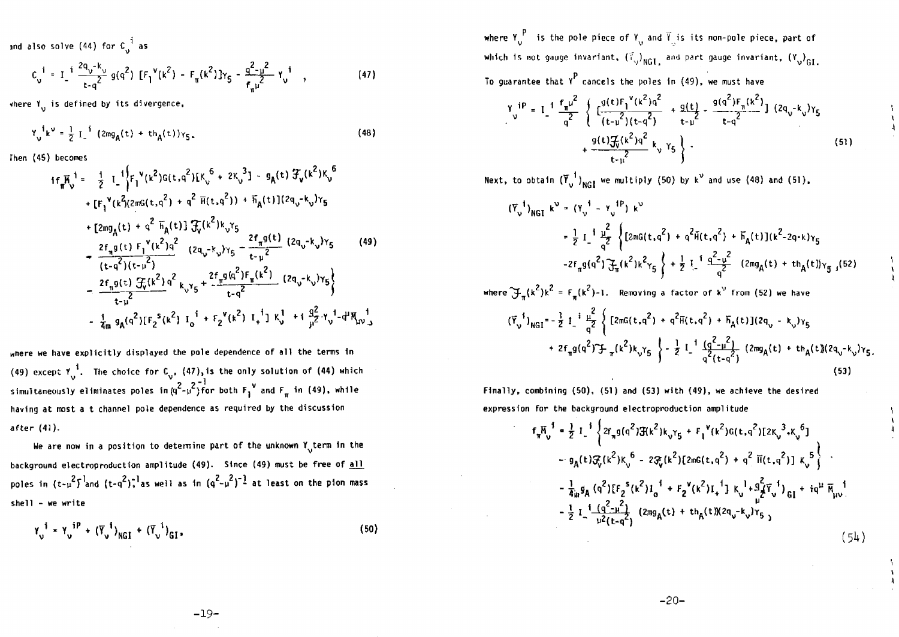and also solve (44) for  $C_{\nu}^{\phantom{\nu^+}}$  as

$$
C_{v}^{i} = I_{-}^{i} \frac{2q_{v} + k_{v}}{t - q^{2}} g(q^{2}) [F_{1}^{V}(k^{2}) - F_{\pi}(k^{2})]Y_{5} - \frac{q^{2} - \mu^{2}}{f_{\pi}\mu^{2}} Y_{v}^{i}, \qquad (47)
$$

where  $Y_{ij}$  is defined by its divergence,

$$
\gamma_{v}^{i} k^{v} = \frac{1}{2} I_{i}^{i} (2mg_{A}(t) + th_{A}(t)) \gamma_{5}. \qquad (48)
$$

Then (45) becomes

$$
i f_{\pi} \overline{M}_{v}^{i} = \frac{1}{2} I_{-}^{i} \Big\{ F_{1}^{v}(k^{2}) G(t, q^{2}) [K_{v}^{6} + 2K_{v}^{3}] - g_{A}(t) \mathcal{F}_{v}(k^{2}) K_{v}^{6} + [F_{1}^{v}(k^{2}) (2 \pi G(t, q^{2}) + q^{2} \overline{H}(t, q^{2})) + \overline{h}_{A}(t)] (2 q_{v} - k_{v}) \gamma_{5} + [2 \pi g_{A}(t) + q^{2} \overline{h}_{A}(t)] \mathcal{F}_{v}(k^{2}) k_{v} \gamma_{5} + \frac{2 f_{\pi} g(t)}{t - \mu^{2}} (2 q_{v} - k_{v}) \gamma_{5} - \frac{2 f_{\pi} g(t)}{t - \mu^{2}} (2 q_{v} - k_{v}) \gamma_{5} - \frac{2 f_{\pi} g(t)}{t - \mu^{2}} (2 q_{v} - k_{v}) \gamma_{5} + \frac{2 f_{\pi} g(t)}{t - \mu^{2}} (2 q_{v} - k_{v}) \gamma_{5} + \frac{2 f_{\pi} g(t)}{t - \mu^{2}} (2 q_{v} - k_{v}) \gamma_{5} + \frac{2 f_{\pi} g(q^{2}) F_{\pi}(k^{2})}{t - \mu^{2}} (2 q_{v} - k_{v}) \gamma_{5} + \frac{2 f_{\pi} g(q^{2}) F_{\pi}(k^{2})}{t - \mu^{2}} (2 q_{v} - k_{v}) \gamma_{5} + \frac{2 f_{\pi} g(q^{2}) F_{\pi}(k^{2})}{t - \mu^{2}} (2 q_{v} - k_{v}) \gamma_{5} + \frac{2 f_{\pi} g(q^{2}) F_{\pi}(k^{2})}{t - \mu^{2}} (2 q_{v} - k_{v}) \gamma_{5} + \frac{2 f_{\pi} g(q^{2}) F_{\pi}(k^{2})}{t - \mu^{2}} (2 q_{v} - k_{v}) \gamma_{5} + \frac{2 f_{\pi} g(q^{2}) F_{\pi}(k^{2})}{t - \mu^{2}} (2 q_{v} - k_{v}) \gamma_{5} + \frac{2 f_{\pi} g(q^{2}) F_{\pi}(k^{2})}{t - \mu^{2}} (2 q_{v} - k_{v}) \gamma_{5} + \frac{2 f_{\pi} g(q^{2}) F_{\pi}(k^{2})}{
$$

**wnere we have explicitly displayed the pole dependence of all the terms in (49) except Y '. The choice for C<sup>y</sup> , (47),is the only solution of (44) which** simultaneously eliminates poles in  $\left( q^2 - \mu^2 \right)$  for both  $F_1^{\nu}$  and  $F_{\pi}$  in (49), while having at most a t channel pole dependence as required by the discussion **having at most a t channel pole dependence as required by the discussion**

We are now in a position to determine part of the unknown Y<sub>v</sub>term in the background electroproduction amplitude (49). Since (49) must be free of all poles in  $(t-u^2)^{-1}$  and  $(t-q^2)^{-1}$  as well as in  $(q^2-u^2)^{-1}$  at least on the pion mass **poles in (t-i^fand (t-q<sup>2</sup>)^as well as 1n (q<sup>2</sup> - y<sup>2</sup> ) "- at least on the p1on mass**

$$
\gamma_{v}^{i} = \gamma_{v}^{iP} + (\bar{\gamma}_{v}^{i})_{NGI} + (\bar{\gamma}_{v}^{i})_{GI},
$$
\n(50)

 $^{\mathsf{p}}$  , is the nole niece of V , and  $\overline{\mathsf{v}}$ where  $y = \log \log p$  is the piece of  $y = \log \log p$  its non-pole piece, part of which is not gauge invariant,  $(\bar{\mathbb{Y}}_n)_{n\in\mathbb{N}}$  and part gauge invariant,  $(\mathbb{Y}_n)_{n\in\mathbb{N}}$ 

To guarantee that  $\gamma^{\mathsf{P}}$  cancels the poles in (49), we must have

$$
\gamma_{v}^{ip} = 1 - \frac{1}{q^{2}} \frac{f_{\pi}u^{2}}{t^{2}} \left\{ \frac{g(t)F_{1}^{\nu}(k^{2})q^{2}}{(t-u^{2})(t-q^{2})} + \frac{g(t)}{t-u^{2}} - \frac{g(q^{2})F_{\pi}(k^{2})}{t-q^{2}} \right\} \cdot \frac{g(t) \frac{f_{\pi}(k^{2})q^{2}}{(t-u^{2})} k_{v} \gamma_{5} \right\}.
$$
\n(51)

Next, to obtain  $(\overline{Y}_M^1)_{M\subset I}$  we multiply (50) by k<sup>V</sup> and use (48) and (51),

$$
(\overline{Y}_{v}^{i})_{NGI} k^{v} = (Y_{v}^{i} - Y_{v}^{iP}) k^{v}
$$
  
\n
$$
= \frac{1}{2} I_{-}^{i} \frac{u^{2}}{q^{2}} \left\{ [2mG(t,q^{2}) + q^{2}\bar{H}(t,q^{2}) + \bar{h}_{A}(t)] (k^{2} - 2q \cdot k)Y_{5} - 2f_{\pi}g(q^{2}) \mathcal{F}_{\pi}(k^{2})k^{2}Y_{5} \right\} + \frac{1}{2} I_{-}^{i} \frac{q^{2} - u^{2}}{q^{2}} (2mg_{A}(t) + th_{A}(t))Y_{5} (52)
$$

**where**  $\mathcal{F}_{\pi}(k^2)k^2 = F_{\pi}(k^2)-1$ . Removing a factor of  $k^v$  from (52) we have

$$
(\overline{Y}_{v}^{i})_{hGI} = -\frac{1}{2} I_{-}^{i} \frac{\mu^{2}}{q^{2}} \left\{ \left[ 2\pi G(t, q^{2}) + q^{2} \overline{H}(t, q^{2}) + \overline{h}_{A}(t) \right] (2q_{v} - k_{v}) \gamma_{5} + 2f_{\pi}g(q^{2}) \mathcal{F}_{\pi}(k^{2}) k_{v} \gamma_{5} \right\} - \frac{1}{2} I_{-}^{i} \frac{(q^{2} - \mu^{2})}{q^{2}(t - q^{2})} (2\pi g_{A}(t) + th_{A}(t)(2q_{v} - k_{v}) \gamma_{5} \tag{53}
$$

**Finally, combining (50), (51) and (S3) with (49), we achieve the desired expression for the background electroproduction amplitude**

$$
f_{W}^{H} = \frac{1}{2} I_{-}^{\dagger} \left\{ 2f_{\pi} g(q^{2}) \mathcal{F}_{K}^{2} \right\} k_{V} \gamma_{5} + F_{1}^{V}(k^{2}) G(t, q^{2}) [2K_{V}^{3} * K_{V}^{6}]
$$
  
\n
$$
- g_{A}(t) \mathcal{F}_{V}(k^{2}) K_{V}^{6} - 2 \mathcal{F}_{V}(k^{2}) [2mG(t, q^{2}) + q^{2} H(t, q^{2})] K_{V}^{5} \right\}
$$
  
\n
$$
- \frac{1}{4w} g_{A} (q^{2}) [F_{2}^{s}(k^{2}) I_{0}^{4} + F_{2}^{V}(k^{2}) I_{+}^{1} I K_{V}^{1} + g_{Z}^{2} \overline{Y}_{V}^{4} ]_{6I} + i q^{11} \overline{N}_{H}^{4}
$$
  
\n
$$
- \frac{1}{2} I_{-}^{\dagger} \frac{(q^{2} - \mu^{2})}{\mu^{2}(t - q^{2})} (2m g_{A}(t) + th_{A}(t) X^{2} q_{V} - k_{V}) \gamma_{5} ,
$$
  
\n(54)

**-20-**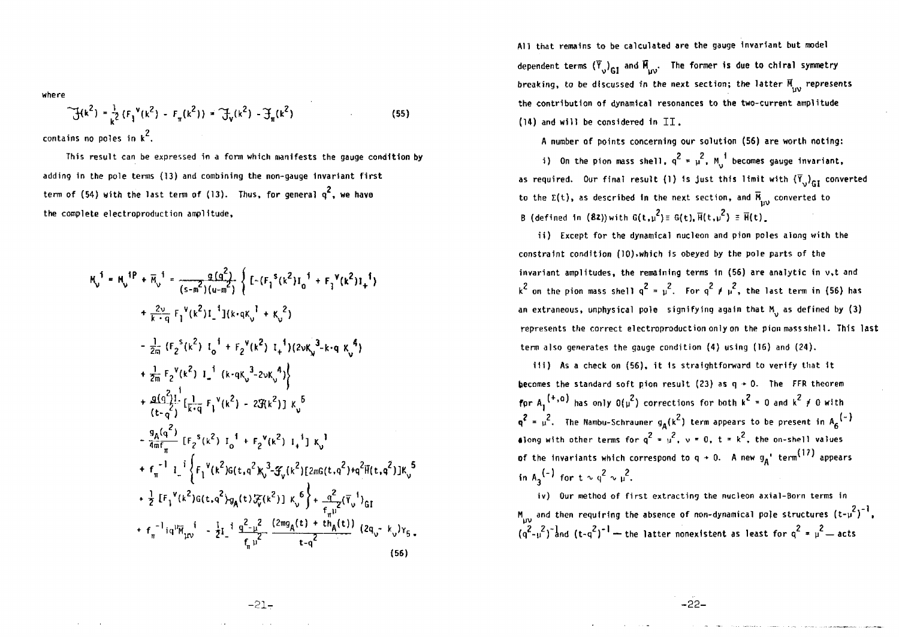**where**

$$
\mathcal{F}(k^2) = \frac{1}{k^2} \{F_1^{\mathbf{v}}(k^2) - F_{\pi}(k^2)\} = \mathcal{F}_{\mathbf{v}}(k^2) - \mathcal{F}_{\pi}(k^2)
$$
 (55)

**y contains no poles in k .**

**This result can be expressed in a form which manifests the gauge condition by adding in the pole terms (13) and combining the non-gauge Invariant first** term of (54) with the last term of (13). Thus, for general  $q^2$ , we have **the complete electroproduction amplitude.**

$$
M_{v}^{i} = M_{v}^{i}P + \overline{H}_{v}^{i} = \frac{g(q^{2})}{(s-m^{2})}(u-m^{2}) \left\{ L-(F_{1}^{s}(k^{2})I_{0}^{i} + F_{1}^{v}(k^{2})I_{+}^{i}) + \frac{2v}{k-q} F_{1}^{v}(k^{2})I_{-}^{i}J(k-qK_{v}^{i} + K_{v}^{2}) - \frac{1}{2m} (F_{2}^{s}(k^{2}) I_{0}^{i} + F_{2}^{v}(k^{2}) I_{+}^{i})(2vK_{v}^{3} - k-qK_{v}^{4}) + \frac{1}{2m} F_{2}^{v}(k^{2}) I_{-}^{i}(k-qK_{v}^{3} - 2vK_{v}^{4}) \right\} + \frac{g(q^{2})I_{-}^{i}I_{k-q}^{i}}{(t-q^{2})} [\frac{1}{k+q} F_{1}^{v}(k^{2}) - 2\Re(k^{2})] K_{v}^{5} - \frac{g_{A}(q^{2})}{4m\epsilon_{m}} [F_{2}^{s}(k^{2}) I_{0}^{i} + F_{2}^{v}(k^{2}) I_{+}^{i}J K_{v}^{i} + f_{m}^{-1} I_{-}^{i} \left\{ F_{1}^{v}(k^{2})G(t,q^{2}K_{v}^{3} - \frac{g}{2V}(k^{2})[2mG(t,q^{2})+q^{2}H(t,q^{2})]K_{v}^{5} + \frac{1}{2} [F_{1}^{v}(k^{2})G(t,q^{2})g_{A}(t)\frac{g}{2V}(k^{2})] K_{v}^{6} \right\} + \frac{a^{2}}{f_{m}^{2}} (\overline{v}_{v}^{i})_{G1} + f_{m}^{-1} i q^{1} \overline{H}_{12}^{i} - \frac{1}{2} I_{-}^{i} \frac{q^{2} - \mu^{2}}{f_{m}^{i}} \frac{(2mg_{A}(t) + th_{A}(t))}{t-q^{2}} (2q_{v} - k_{v})r_{5} - \frac{1}{2} I_{-}^{i} \frac{q^{2} - \mu^{2}}{f_{m}^{i}} \frac{(2mg_{A}(t) + th_{A}(t))}{t-q^{2}} (56)
$$

**A11 that remains to be calculated are the gauge invariant but model** dependent terms  $(\overline{Y}_{n})_{n=1}$  and  $\overline{M}_{n=1}$ . The former is due to chiral symmetry breaking, to be discussed in the next section; the latter  $\overline{M}_{\text{av}}$  represents **the contribution of dynamical resonances to the two-current amplitude (14) and will be considered 1n II .**

**A number of points concerning our solution (56) are worth noting: 2**  $\mu$ ,  $M_{\mu}$  **becomes gauge invariant,** as required. Our final result (1) is just this limit with  $(\overline{Y}_{n})_{c,i}$  converted to the  $E(t)$ , as described in the next section, and  $\overline{N}_{\text{tot}}$  converted to **B** (defined in (82))with  $G(t, u^2) \equiv G(t)$ .  $\overline{H}(t, u^2) \equiv \overline{H}(t)$ .

**ii) Except for the dynamical nucleon and pion poles along with the constraint condition (10).which Is obeyed by the pole parts of the invariant amplitudes, the remaining terms 1n (56) are analytic in v,t and**  $k^2$  on the pion mass shell  $q^2 = \mu^2$ . For  $q^2 \neq \mu^2$ , the last term in (56) has an extraneous, unphysical pole signifying again that M<sub>1</sub>, as defined by (3) represents the correct electroproduction only on the pion mass shell. This last term also generates the gauge condition (4) using (16) and (24).

**tii)** As a check on (56), it is straightforward to verify that it **hecomes the standard soft pion result (23) as**  $q + 0$ **. The FFR theorem** for A<sub>1</sub><sup>(+,a)</sup> has only O( $\mu^2$ ) corrections for both k<sup>2</sup> = 0 and k<sup>2</sup> ≠ 0 with has only 0(u ) corrections for both k - 0 and k ^ 0 with  $2 = \mu^2$ . The Nambu-Schrauner g<sub>n</sub>(k<sup>2</sup>) term appears to be present in **a**<br> **a** long with other terms for  $q^2 = y^2$ ,  $v = 0$ ,  $t = k^2$ , the on-shell values of the invariants which correspond to  $q \rightarrow 0$ . A new  $g_A^{\dagger}$  term<sup>(17)</sup> appears in A<sub>2</sub>  $^{(-)}$  for t  $\sim q^2 \sim \mu^2$ .

iv) Our method of first extracting the nucleon axial-Born terms in **M** and then requiring the absence of non-dynamical pole structures  $(t-\mu^2)^{-1}$ ,  $2 \cdot 2 \cdot 1$   $\cdot \cdot \cdot$   $2 \cdot -1$   $\cdot \cdot \cdot$   $\cdot \cdot \cdot$   $\cdot \cdot \cdot$   $\cdot \cdot \cdot \cdot$   $\cdot \cdot \cdot \cdot$   $\cdot \cdot \cdot \cdot$   $\cdot \cdot \cdot \cdot$   $2 \cdot \cdot \cdot$   $2 \cdot \cdot \cdot$   $2 \cdot \cdot \cdot$   $2 \cdot \cdot \cdot$ (q -JJ ) and (t-q ) —the latter nonexistent as least **for** q • u —acts

-21-

-22-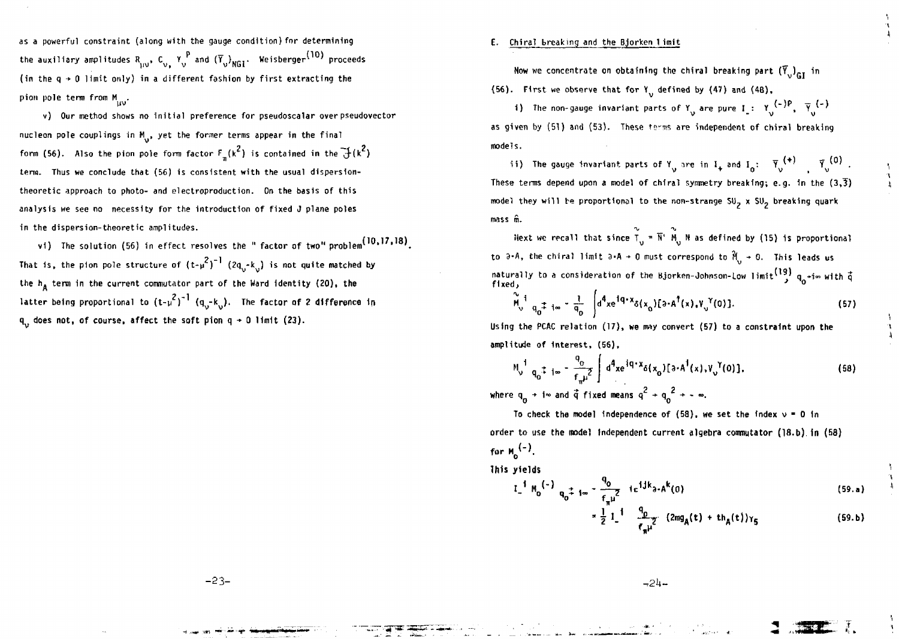**as a powerful constraint (along with the gauge condition) for determining** the auxiliary amplitudes  $R_{uv}$ ,  $C_{v}$ ,  $Y_{v}^{P}$  and  $(\overline{Y}_{v})_{NGI}$ . Weisberger<sup>(10)</sup> proceeds **(in the q + 0 limit only) in a different fashion by first extracting the** pion pole term from M<sub>120</sub>.

**v) Our method shows no initial preference for pseudoscaiar over pseudovector** nucleon pole couplings in M<sub>11</sub>, yet the former terms appear in the final form (56). Also the pion pole form factor  $F_n(k^2)$  is contained in the  $\mathfrak{F}(k^2)$ **terra. Thus we conclude that (56) is consistent with the usual dispersiontheoretic approach to photo- and olectroproduction. On the basis of this analysis we see no necessity for the introduction of fixed J plane poles in the dispersion-theoretic amplitudes.**

**vi) The solution (56) in effect resolves the " factor of two" problem\*1 0' 1 7' 1 8'.** That is, the pion pole structure of  $\left\{t-\mu^2\right\}^{-1}$   $\left\{2\mathfrak{q}_{\mu^-}k_{\mu}\right\}$  is not quite matched by **the h, term in the current commutator part of the Ward Identity (20), the 1atter being proportional to**  $(t-\mu^2)^{-1}$  $(q_v-k_v)$ **. The factor of 2 difference in**  $q_v$  does not, of course, affect the soft pion  $q \rightarrow 0$  limit (23).

## **E. Chiral breaking and the Bjorken limit**

Now we concentrate on obtaining the chiral breaking part  $(\overline{Y}_v)_{\text{GI}}$  in (56). First we observe that for Y<sub>1</sub> defined by (47) and (48),

**i)** The non-gauge invariant parts of Y<sub>1</sub> are pure I<sub>1</sub>:  $Y_1^{(-)P}, \overline{Y}_1^{(-)}$ **as given by (51) and (53). These terms are independent of chiral breaking models.**

**ii)** The gauge invariant parts of  $Y_{ij}$  are in  $I_{+}$  and  $I_{0}$ :  $\overline{Y}_{ij}^{(+)}$  :  $\overline{Y}_{ij}^{(0)}$ . **These terms depend upon a model of chiral symmetry breaking; e.g. In the (3,1)** model they will be proportional to the non-strange SU<sub>2</sub> x SU<sub>2</sub> breaking quark **mass m.**

**Next we recall that since**  $\tilde{T}_{U} = \tilde{N}'$  $\tilde{M}_{U}$  **N as defined by (15) is proportional** to  $3-A$ , the chiral limit  $3-A + 0$  must correspond to  $\aleph_a + 0$ . This leads us **naturally to a consideration of the Bjorken-Johnson-Low limit'<sup>19</sup>' q \*i« with q fixed, •\* °**

$$
\stackrel{\gamma}{M}_{\nu}^{\dagger}{}_{q_0}^{\dagger}{}_{q_0} - \frac{1}{q_0} \int d^4x e^{iq \cdot x} \delta(x_0) [\partial A^{\dagger}(x), V_y^{\dagger}(0)]. \tag{57}
$$

**Using the PCAC relation (17), we may convert (57) to a constraint upon the amplitude of Interest, (56),**

$$
M_{v}^{\dagger} q_{0}^{\dagger} \uparrow \infty - \frac{q_{0}}{f_{w} \mu^{2}} \int d^{4}x e^{iq \cdot x} \delta(x_{0}) [ \partial A^{d}(x), V_{v}^{\dagger}(0) ], \tag{58}
$$

where  $q_n \rightarrow i \infty$  and  $\tilde{q}$  fixed means  $q^2 + q_n^2 + \cdots$ 

To check the model independence of  $(58)$ , we set the index  $v = 0$  in **order to use the model Independent current algebra commutator (18.b) in (58) for MJ''.**

**This yields**

$$
I^{-1} M_0^{(-)} q_0^{\frac{1}{4}} i \infty - \frac{q_0}{f_{\pi} u^2} i \epsilon^{ijk} a \cdot A^k(0)
$$
 (59. a)

 $=\frac{1}{2} 1 \int_{-}^{1} \frac{q_0}{f_{-} \mu^2}$   $(2mg_A(t) + th_A(t)) \gamma_5$ **(59.b)**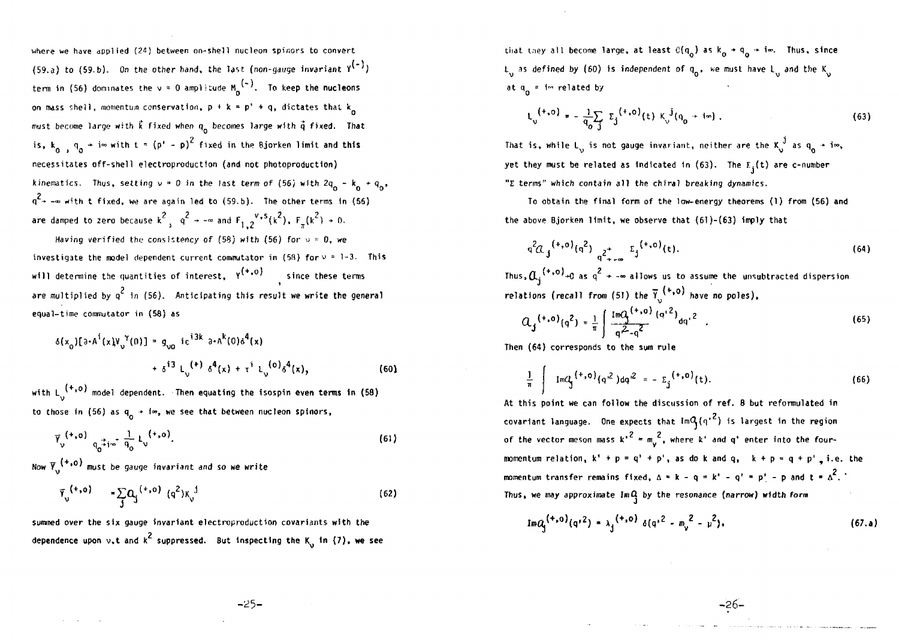where we have applied (24) between on-shell nucleon spinors to convert  $(59.a)$  to  $(59.b)$ . On the other hand, the last (non-gauge invariant  $Y^{(-)}$ ) term in (56) dominates the  $v = 0$  amplitude  $M_0$ <sup>(-)</sup>. To keep the nucleons **on mass shell, momentum conservation,**  $p + k = p' + q$ **, dictates that**  $k_0$ must become large with  $\vec{k}$  fixed when q<sub>o</sub> becomes large with  $\vec{q}$  fixed. That **is,**  $k_{0}$ ,  $q_{0}$   $*$  i« with t =  $(p' - p)^{2}$  fixed in the Bjorken limit and this **necessitates off-shell electroproduction (and not photoproduction)** kinematics. Thus, setting  $v = 0$  in the last term of (56) with  $2q_p - k_q + q_p$ ,  $q^2$  -  $\infty$  with t fixed, we are again led to (59.b). The other terms in (56)  $\frac{1}{2}$   $\frac{1}{2}$   $\frac{1}{2}$   $\frac{1}{2}$   $\frac{1}{2}$   $\frac{1}{2}$   $\frac{1}{2}$   $\frac{1}{2}$   $\frac{1}{2}$   $\frac{1}{2}$ are damped to zero because k q - -» and F,2 (2) and F,2 (2) and F,2 (2) and F,2 (2) and F,2 (2) and F,2 (2) and

investigate the model dependent current commutator in (58) for  $v = 1-3$ . This will determine the quantities of interest,  $Y^{(+,0)}$  since these terms **bullet determine the quantities of interest, Yl 0** equal-time commutator in (58) as

$$
\delta(x_0)[\partial A^{\dagger}(x)\psi_0^{\gamma}(0)] = g_{00} i\epsilon^{ijk} \partial A^k(0)\delta^4(x) + \delta^{ij} L_y^{(i)} \delta^4(x) + \tau^{i} L_y^{(0)} \delta^4(x), \qquad (60)
$$

with L<sub>1</sub><sup>(+,o)</sup> model dependent. Then equating the isospin even terms in (58) to those in (56) as  $q_0 + i \infty$ , we see that between nucleon spinors,

$$
\overline{Y}_{v}^{(+,0)} \, q_0^{\, +}_{v} \overline{q}_0^{\, -} \, l_v^{(+,0)}.
$$
 (61)

**Now •.o) must be gauge invariant and so we write**

$$
\bar{Y}_{v}^{(+,0)} = \sum_{j} Q_{j}^{(+,0)} (q^{2}) K_{v}^{j}
$$
 (62)

-25-

**summed over the six gauge invariant electroproduction covariants with the** dependence upon v,t and k<sup>2</sup> suppressed. But inspecting the K<sub>1</sub> in {7}, we see that they all become large, at least  $C(q_0)$  as  $k_0 + q_0 + i \infty$ . Thus, since  $L_{\alpha}$  as defined by (60) is independent of  $q_{\alpha}$ , we must have  $L_{\alpha}$  and the K<sub>V</sub> at  $q_n = im$  related by

$$
L_{v}^{(+,0)} = -\frac{1}{q_{0}} \sum_{j} \Sigma_{j}^{(+,0)}(t) K_{v}^{j}(q_{0} + i\omega) .
$$
 (63)

That is, while L<sub>1</sub> is not gauge invariant, neither are the K<sub>1</sub><sup>3</sup> as  $q_0 + i\infty$ , yet they must be related as indicated in  $(63)$ . The  $E_i(t)$  are c-number **"t terms" which contain all the chiral breaking dynamics.**

**To obtain the final form of the low-energy theorems (1) from (56) and the above Bjorken limit, we observe that (61)-(63) imply that**

$$
q^{2}Q_{j}^{(+,0)}(q^{2})_{q^{2^{+}}_{+-\infty}}\Sigma_{j}^{(+,0)}(t).
$$
 (64)

Thus,  $a_i^{(+,0)}$ +C as  $q^2$  + - $\infty$  allows us to assume the unsubtracted dispersion  $\mathsf{r}$ elations (recall from (51) the  $\bar{Y}^{(+,\,\mathsf{o})}_{\mathsf{u}}$  have no poles),

$$
Q_{j}^{(+,o)}(q^{2}) = \frac{1}{\pi} \int \frac{Im Q^{(+,o)}(q^{2})}{q^{2}-q^{2}} dq^{2} \qquad (65)
$$

**Then (64) corresponds to the sum rule**

$$
\frac{1}{\pi} \int Im \mathcal{C}_{j}^{(+,0)}(q^{2}) dq^{2} = - \Sigma_{j}^{(+,0)}(t). \qquad (66)
$$

**At this point we can follow the discussion of ref. 8 but reformulated in** covariant language. One expects that  $Im\left(q'^2\right)$  is largest in the region of the vector meson mass  $k^{2} = m_q^2$ , where k' and q' enter into the four**nomentum relation,**  $k' + p = q' + p'$ **, as do k and q,**  $k + p = q + p'$ , i.e. the momentum transfer remains fixed,  $\Delta = k - q = k' - q' = p' - p$  and  $t = \Delta^2$ . Thus, we may approximate ImQ by the resonance (narrow) width form

$$
Im Q_j^{(+,0)}(q^2) = \lambda_j^{(+,0)} \delta(q^2 - m_v^2 - \mu^2), \qquad (67. a)
$$

-26-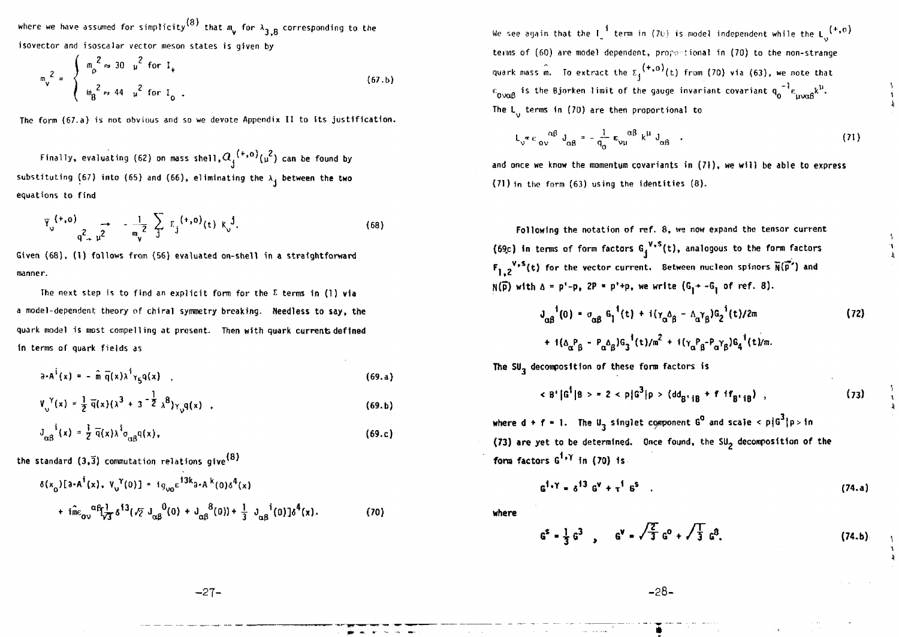where we have assumed for simplicity<sup>(8)</sup> that  $m_{\nu}$  for  $\lambda_{3,R}$  corresponding to the **isovector and isoscalar vector meson states is given by**

$$
m_{V}^{2} = \begin{cases} m_{P}^{2} \approx 30 \mu^{2} \text{ for } I_{+} \\ m_{B}^{2} \approx 44 \mu^{2} \text{ for } I_{0} \end{cases}
$$
 (67.b)

The form (67.a) is not obvious and so we devote Appendix II to its justification.

**Finally, evaluating (62) on mass shell,**  $a_i^{(+,0)}(u^2)$  **can be found by** substituting (67) into (65) and (66), eliminating the  $\lambda_1$  between the two **equations to find**

$$
\overline{Y}_{v}^{(+,o)} \longrightarrow -\frac{1}{m_{v}^{2}} \sum_{j} \overline{E}_{j}^{(+,o)}(t) K_{v}^{j}.
$$
 (68)

Given (68), (1) follows from (56) evaluated on-shell in a straightforward manner.

The next step is to find an explicit form for the  $\Sigma$  terms in (1) via a model-dependent: theory of chiral symmetry breaking. Needless to say, the quark model is most compelling at present. Then with quark current defined in terms of quark fields as

$$
\partial \cdot A^{\dagger}(x) = - \hat{m} \overline{q}(x) \lambda^{\dagger} \gamma_5 q(x) \quad . \tag{69. a}
$$

$$
\Psi_{v}^{\gamma}(x) = \frac{1}{2} \vec{q}(x) (\lambda^{3} + 3^{-\frac{1}{2}} \lambda^{8}) \gamma_{v} q(x) \quad .
$$
 (69.b)

$$
J_{\alpha\beta}^{\ \ i}(x) = \frac{1}{2} \overline{q}(x) \lambda^{\dot{1}} \sigma_{\alpha\beta}^{\ \ q}(x), \qquad (69.c)
$$

**the standard (3,3) commutation relations give (8)**

$$
\delta(x_0)[\partial A^{\dagger}(x), V_y^{\gamma}(0)] = i_{g_{\nu 0}}\epsilon^{13k} \partial A^k(0)\delta^4(x)
$$
  
+ 
$$
i\hat{m}\epsilon_{\nu 0}^{\alpha\beta}[\frac{1}{\sqrt{3}}\delta^{13}(\sqrt{2}J_{\alpha\beta}^{\phantom{\alpha\beta}}(0) + J_{\alpha\beta}^{\phantom{\alpha\beta}\beta}(0)) + \frac{1}{3}J_{\alpha\beta}^{\phantom{\alpha\beta}\dagger}(0)]\delta^4(x).
$$
 (70)

We see again that the I<sup>1</sup> term in (70) is model independent while the L<sub>1</sub><sup>(+,0</sup>)<sup></sup> terms of (60) are model dependent, proportional in (70) to the non-strange quark mass m. To extract the  $E_1$ <sup>(+,0)</sup>(t) from (70) via (63), we note that  $\epsilon_{\text{ovag}}$  is the Bjorken limit of the gauge invariant covariant  $q_0^{-1} \epsilon_{\text{uvag}} k^{\mu}$ . **The Ly terms in (70) are then proportional to**

$$
L_{\nu} \propto \epsilon_{\nu}^{\alpha \beta} J_{\alpha \beta} = -\frac{1}{q_0} \epsilon_{\nu \mu}^{\alpha \beta} k^{\mu} J_{\alpha \beta} \quad . \tag{71}
$$

and once we know the momentum covariants in (71), we will be able to express **(71) in the form (63) using the identities (8).**

Following the notation of ref. 8, we now expand the tensor current (69c) in terms of form factors  $G_1^{\vee, \vee, \vee}$  analogous to the form factors  $F_1$  ,  $\overline{S'}$  (t) for the vector current. Between nucleon spinors  $\overline{N}(\overline{p}')$  and  $N(\bar{p})$  with  $\Delta = p' - p$ ,  $2P = p' + p$ , we write  $(G_1 + -G_1 \text{ of ref. } 8).$ 

$$
J_{\alpha\beta}^{\ \ i}(0) = \sigma_{\alpha\beta}^{\ \ i} \left(1 + i(\gamma_{\alpha}\delta_{\beta} - \Delta_{\alpha}\gamma_{\beta})\sigma_{2}^{\ \ i}(t)/2\pi\right)
$$
\n
$$
+ i(\Delta_{\alpha}P_{\beta} - P_{\alpha}\Delta_{\beta})\sigma_{3}^{\ \ i}(t)/m^{2} + i(\gamma_{\alpha}P_{\beta} - P_{\alpha}\gamma_{\beta})\sigma_{4}^{\ \ i}(t)/m.
$$
\n(72)

**The** SU, decomposition of these form factors is

 $\label{eq:1} \frac{1}{2} \left( \mathbf{w}^2 + \mathbf{w}^2 \mathbf{w}^2 + \mathbf{w}^2 \mathbf{w}^2 \right)$ 

$$
< B' |G1|B> = 2 < p |G3|p> (ddB'1B + f ifB'1B) , \qquad (73)
$$

where  $d + f = 1$ . The  $U_2$  singlet component  $G^0$  and scale <  $p \mid G^3 | p > in$ **(73) are yet to be determined. Once found, the SU, decomposition of the form factors**  $G^{1, Y}$  **in (70) is** 

-28-

$$
1.7 = \delta^{13} G^V + \tau^1 G^S
$$
 (74.a)

**where**

**See also are the this area** 

$$
65 - \frac{1}{3}63 , 69 - \sqrt{\frac{2}{3}}60 + \sqrt{\frac{1}{3}}68 . \qquad (74.6)
$$

**-27-**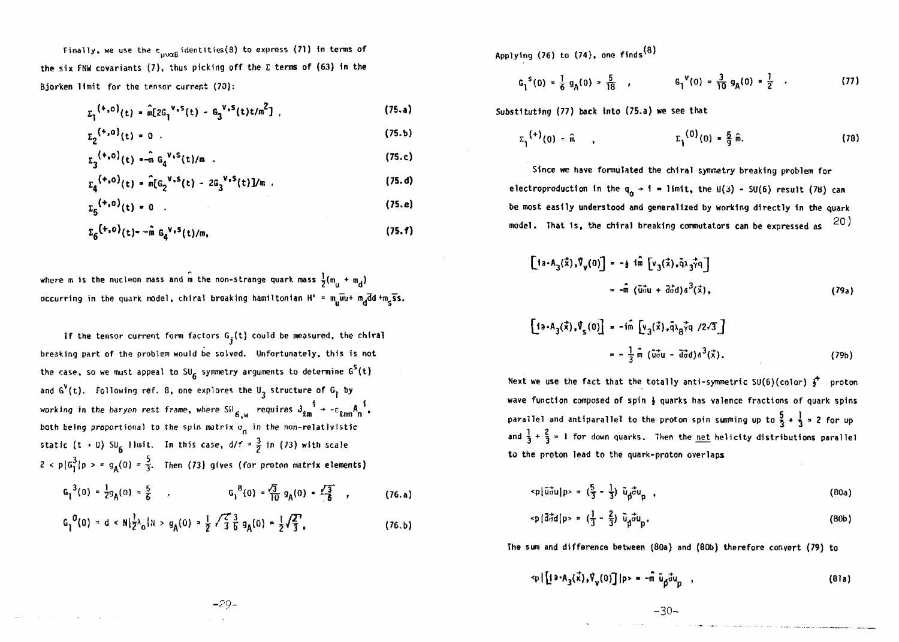Finally, we use the  $\epsilon$ <sub>inva</sub>g identities(8) to express (71) in terms of **jIVOlp** the six FNW covariants (7), thus picking off the l terms of (63) in the Bjorken limit for the tensor current (70):

$$
E_1^{(+,0)}(t) = \hat{m}[2G_1^{\nu_s s}(t) - G_3^{\nu_s s}(t)t/m^2], \qquad (75. a)
$$

$$
\Sigma_2^{(+,0)}(t) = 0 \tag{75.b}
$$

$$
\Sigma_3^{(+,0)}(t) = \hat{m} G_4^{\nu, S}(t) / m . \qquad (75.c)
$$

$$
E_4^{(+,0)}(t) = \hat{m}[G_2^{\nu, S}(t) - 2G_3^{\nu, S}(t)]/m .
$$
 (75. d)

$$
E_5^{(+,0)}(t) = 0 \t . \t (75.e)
$$

$$
\Sigma_6^{\{+,0\}}(t) = -\hat{a} G_4^{\{v,s\}}(t) / m, \qquad (75.1)
$$

where m is the nucleon mass and  $\hat{m}$  the non-strange quark mass  $\frac{1}{2}(m_1 + m_2)$ **occurring in the quark model, chiral breaking hamiltonian H' = m<sub>u</sub>uu+ m<sub>a</sub>dd+m<sub>e</sub>ss.** 

If the tensor current form factors  $G_i(t)$  could be measured, the chiral breaking part of the problem would be solved. Unfortunately, this is not the case, so we must appeal to SU<sub>6</sub> symmetry arguments to determine  $6^5(t)$ and  $G^V(t)$ . Following ref. 8, one explores the  $U_2$  structure of  $G_1$  by **and G<sup>v</sup>(t). Following ref. 8, one explores the U, structure of Gj by** working in the baryon rest frame, where SU<sub>6,w</sub> requires  $J_{\ell,m}^{\phantom{\ell}}$  + - $\varepsilon_{\ell,m}$ A<sub>n</sub><sup>1</sup>. **both being proportional to the spin matrix**  $\sigma_n$  **in the non-relativistic static (t**  $\div$  0) SU<sub>6</sub> limit. In this case,  $d/f = \frac{3}{2}$  in (73) with scale  $2 < p \mid 6^3_1 \mid p > = g_A(0) = \frac{5}{3}$ . Then (73) gives (for proton matrix elements)

$$
G_1^3(0) = \frac{1}{2}g_A(0) = \frac{5}{6} , \qquad G_1^8(0) = \frac{\sqrt{3}}{10} g_A(0) = \frac{\sqrt{3}}{6} , \qquad (76. a)
$$

$$
G_1^0(0) = d < N \big|_{2}^{\frac{1}{2}} \lambda_0 \big|_{\mathfrak{A}} > g_A(0) = \frac{1}{2} \sqrt{\frac{2}{3}} \frac{3}{5} g_A(0) = \frac{1}{2} \sqrt{\frac{2}{3}} \, . \tag{76.6}
$$

Applying (76) to (74), one finds<sup>(8)</sup>

$$
G_1^S(0) = \frac{1}{6} g_A(0) - \frac{5}{18} , \qquad G_1^V(0) = \frac{3}{10} g_A(0) - \frac{1}{2} . \qquad (77)
$$

Substituting (77) back into (75.a) we see that

$$
\Sigma_1^{(+)}(0) = \hat{m} \qquad , \qquad \qquad \Sigma_1^{(0)}(0) = \frac{5}{9} \hat{m}. \qquad (78)
$$

**Since we have formulated the chiral symmetry breaking problem for electroproduction in the**  $q_{\bf a}$   $\rightarrow$  1  $\rightarrow$  1imit, the U(3) - SU(6) result (78) can **be most easily understood and generalized by working directly in the quark** model. That is, the chiral breaking commutators can be expressed as 20)

$$
\begin{bmatrix} i\partial \cdot A_3(\vec{x}) \cdot \vec{V}_V(0) \end{bmatrix} = -\frac{i}{2} i \hat{m} \begin{bmatrix} v_3(\vec{x}) \cdot \vec{q} \cdot 3\vec{r}q \end{bmatrix}
$$
  
= -\hat{m} (\vec{u}\vec{q}u + \vec{d}\vec{q})\delta^3(\vec{x}), (79a)

$$
\begin{bmatrix} 1 a \cdot A_3(\vec{x}) \cdot \vec{v}_s(0) \end{bmatrix} = -i \hat{m} \begin{bmatrix} v_3(\vec{x}) \cdot \vec{q} \cdot b_3(\vec{x}) & 72\sqrt{3} \end{bmatrix}
$$
  
=  $-\frac{1}{3} \hat{m} (\vec{u} \cdot \vec{d} u - \vec{u} \cdot \vec{d} s) \cdot \vec{s}^3(\vec{x})$ . (79b)

Next we use the fact that the totally anti-symmetric SU(6)(color)  $\hat{\mathfrak{z}}^+$  proton wave function composed of spin 1 quarks has valence fractions of quark spins parallel and antiparallel to the proton spin summing up to  $\frac{5}{3}$  +  $\frac{1}{3}$  = 2 for up and  $\frac{1}{3} + \frac{2}{3} = 1$  for down quarks. Then the <u>net</u> helicity distributions parallel to the proton lead to the quark-proton overlaps

$$
\langle p| \bar{u} \bar{d}u|p \rangle = \left(\frac{5}{3} - \frac{1}{3}\right) \bar{u}_{\beta} \bar{d}u_{p} \quad , \tag{80a}
$$

$$
\langle p | \bar{d} \bar{d} | p \rangle = (\frac{1}{3} - \frac{2}{3}) \bar{u}_{\beta} \bar{d} u_{\beta}, \qquad (80b)
$$

**The sum and difference between (80a) and (80b) therefore convert (79) to**

$$
\mathcal{P}\left[\left[1^{\delta}\right]\mathbf{A}_{3}(\vec{x}),\vec{V}_{\mathbf{v}}(0)\right]\left|\mathbf{p}\right\rangle = -\hat{\mathbf{n}}\bar{\mathbf{u}}_{\beta}\vec{\mathbf{d}}\mathbf{u}_{\mathbf{p}}\quad ,\tag{81a}
$$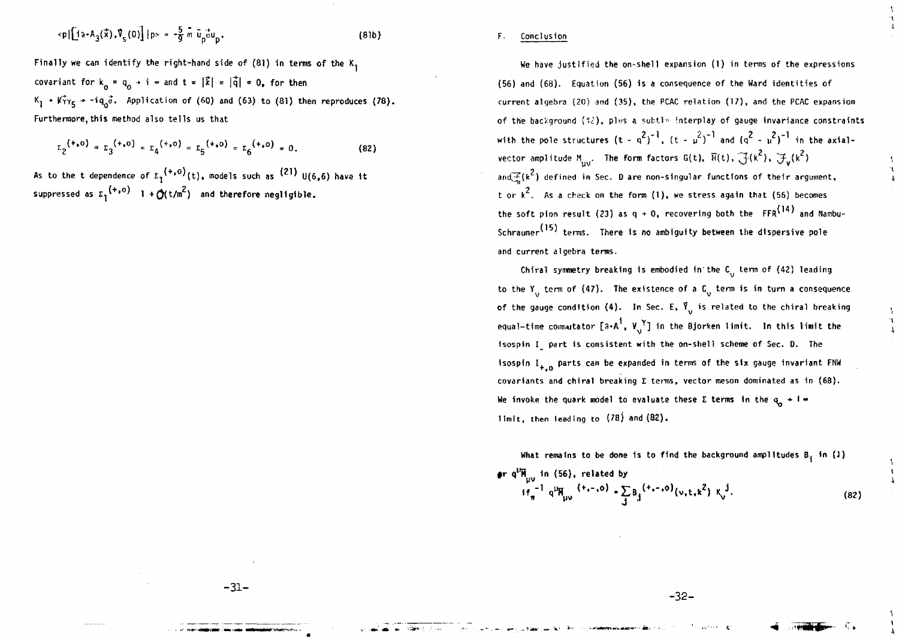$$
p\left[\left(\frac{1}{2}\right) \cdot A_3(\vec{x}), \vec{v}_s(0)\right] | p \rangle = -\frac{5}{9} \hat{m} \tilde{u}_{p} \tilde{d}u_{p}. \tag{81b}
$$

Finally we can identify the right-hand side of  $(81)$  in terms of the K<sub>1</sub> covariant for  $k_0 = q_0 + i =$  and  $t = |\vec{k}| = |\vec{q}| = 0$ , for then  $K_1 + K_{\text{YYg}}^+ + i q_s \vec{\sigma}$ . Application of (60) and (63) to (81) then reproduces (78). Furthermore,this method also tells us that

$$
\Sigma_2^{(+,0)} = \Sigma_3^{(+,0)} = \Sigma_4^{(+,0)} = \Sigma_5^{(+,0)} = \Sigma_6^{(+,0)} = 0.
$$
 (82)

-31-

As to the t dependence of  $\mathfrak{c}_1^{\, (+, o)}(\mathsf{t})$ , models such as  $^{(21)}$  U(6,6) have it suppressed as  $E_1^{(+,0)}$  1 +  $\mathcal{O}(t/\text{m}^Z)$  and therefore negligible.

#### F. Conclusion

We have justified the on-shell expansion (1) in terms of the expressions (56) and (68). Equation (56) is a consequence of the Ward identities of current algebra (20) and (35), the PCAC relation (17), and the PCAC expansion of the background  $(42)$ , ples a subtle-interplay of gauge invariance constraints with the pole structures  $(t - q^2)^{-1}$ ,  $(t - y^2)^{-1}$  and  $(q^2 - y^2)^{-1}$  in the axialvector amplitude  $M_{\text{max}}$ . The form factors G(t),  $\overline{H}(t)$ ,  $\overline{H}(k^2)$ ,  $\overline{\mathcal{F}}_{\text{u}}(k^2)$  $v_{\rm max}$  ,  $v_{\rm max}$  ,  $v_{\rm max}$  ,  $v_{\rm max}$  ,  $v_{\rm max}$  ,  $v_{\rm max}$  ,  $v_{\rm max}$  ,  $v_{\rm max}$  ,  $v_{\rm max}$  $\overline{\phantom{a}}$ **t** or  $k^2$ . As a check on the form (1), we stress again that (56) becomes the soft pion result (23) as  $q + 0$ , recovering both the  $FFR<sup>(14)</sup>$  and Nambu-Schrauner<sup>(15)</sup> terms. There is no ambiguity between the dispersive pole

Chiral symmetry breaking is embodied in the C<sub>1</sub> term of (42) leading to the  $Y_{11}$  term of (47). The existence of a  $C_{11}$  term is in turn a consequence of the gauge condition (4). In Sec. E,  $\vec{Y}_y$  is related to the chiral breaking **of the gauge condition (4). In Sec. E, Ty is related to the chiral breaking i v equal-time commutator [a-A , V<sup>T</sup> ] in the Bjorken limit. In this limit the isospin I part is consistent with the on-shell scheme of Sec. D. The isospin I. " parts can be expanded in terms of the six gauge invariant FNW +,o covariants and chiral breaking E terms, vector meson dominated as in (68).** We invoke the quark model to evaluate these  $\Sigma$  terms in the  $q_n + 1$ **limit, then leading to (78} and (82).**

What remains to be done is to find the background amplitudes B, **In (J) #r q<sup>l</sup>\*M** v **In** (56), **related by**  $i\int_{\pi}^{\pi^{-1}} q^{i} M_{\mu\nu}^{(+,-,0)} = \sum_{i=1}^{\infty} B_i^{(+,-,0)}(v,t,k^2) K_{\nu}^{j}.$ (82)

-32-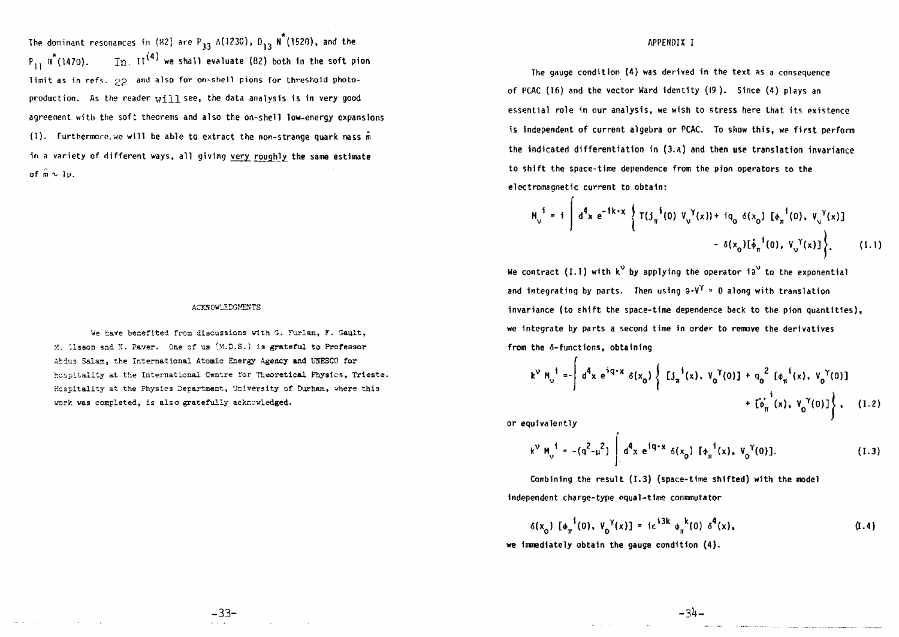**The dominant resonances in (82) are P,, A(l?30), D., N (1520), and the 33 '13 P<sub>1</sub>**,  $H^*(1470)$ . In. II<sup>(4)</sup> we shall evaluate (82) both in the soft pion limit as in refs.  $22$  and als<mark>o for on-shell pions for threshold photo</mark> **production. As the reader wil l see, the data analysis is in very good agreement with the soft theorems and also the on-shell low-energy expansions 0 ) . Furthermore.we will be able to extract the non-strange quark mass in in a variety of different ways, all giving very roughly the same estimate**  $of$   $m \sim 1$ **y**.

#### ACKNOWLEDGMENTS

We have benefited from discussions with G. Furlan, F. Gault, M. Clason and N. Paver. One of us (M.D.S.) is grateful to Professor Atdus Salam, the International Atomic Energy Agency and UNESCO for hospitality at the International Centre for Theoretical Physics, Trieste. Hospitality at the Physics Department, University of Durham, where this work vas completed, is also gratefully acknowledged.

## **APPENDIX I**

**The gauge condition (4) was derived in the text as a consequence of PCAC (16) and the vector Ward identity (19). Since (1) plays an essential role in our analysis, we wish to stress here that its existence is Independent of current algebra or PCAC. To show this, we first perform the indicated differentiation in (3.a) and then use translation Invariance to shift the space-time dependence from the pion operators to the electromagnetic current to obtain:**

$$
M_{v}^{\dagger} = i \int d^{4}x e^{-ik \cdot x} \left\{ T(j_{\pi}^{\dagger}(0) V_{v}^{\gamma}(x)) + iq_{0} \delta(x_{0}) [4\phi_{\pi}^{\dagger}(0), V_{v}^{\gamma}(x)] - \delta(x_{0}) [\phi_{\pi}^{\dagger}(0), V_{v}^{\gamma}(x)] \right\}, \qquad (1.1)
$$

**We contract (I.I) with k<sup>y</sup> by applying the operator 19<sup>U</sup> to the exponential** and integrating by parts. Then using  $3\cdot V^{\gamma} = 0$  along with translation **Invariance (to shift the space-time dependence back to the pion quantities), we Integrate by parts a second time in order to remove the derivatives from the S-functions, obtaining**

$$
k^{V} M_{U}^{i} = - \int d^{4}x e^{iq \cdot x} \delta(x_{0}) \left\{ LJ_{\pi}^{i}(x), V_{0}^{\gamma}(0) + q_{0}^{2} L\phi_{\pi}^{i}(x), V_{0}^{\gamma}(0) + LJ_{\pi}^{i}(x), V_{0}^{\gamma}(0) \right\}, \quad (1.2)
$$

**or equivalently**

 $\epsilon$ 

$$
k^{V} M_{v}^{\dagger} = -(q^{2}-\mu^{2}) \int d^{4}x e^{iq-x} \delta(x_{0}) [\phi_{\pi}^{\dagger}(x), V_{0}^{\dagger}(0)]. \qquad (1.3)
$$

**Combining the result (1.3) (space-time shifted) with the model Independent charge-type equal-time conmmutator**

$$
\delta(x_0) \; [\phi_{\pi}^{-1}(0), \; v_0^{\ \gamma}(x)] = i \epsilon^{i3k} \; \phi_{\pi}^{-k}(0) \; \delta^4(x), \tag{1.4}
$$

we immediately obtain the gauge condition (4).

-3k-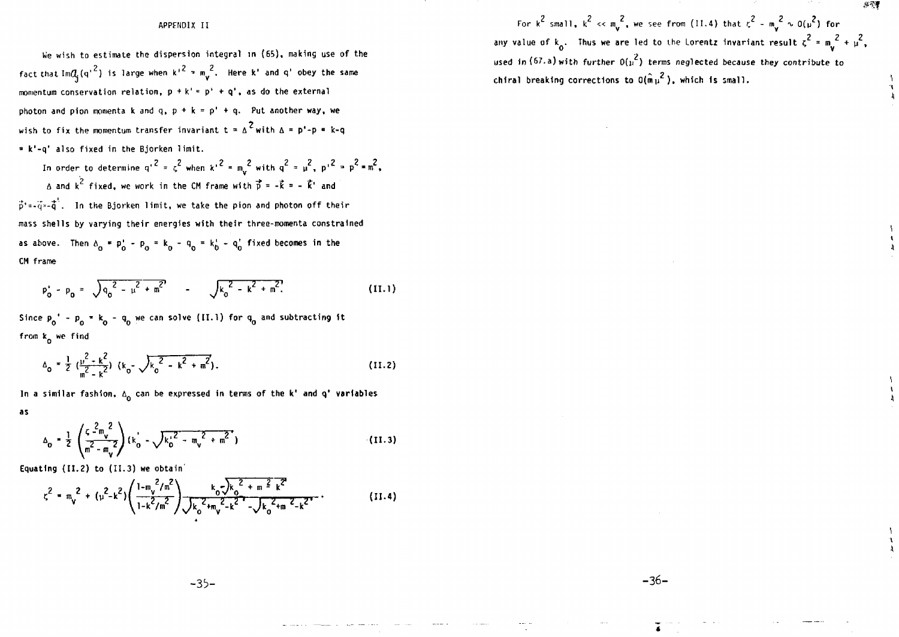#### **APPENDIX II**

**We wish to estimate the dispersion integral in (65), making use of the fact that Im** $\mathcal{Q}_i(\mathbf{q}^2)$  **is large when**  $\mathbf{k}^{12}$  **\***  $\mathbf{m_v}^2$ **. Here**  $\mathbf{k}^i$  **and**  $\mathbf{q}^i$  **obey the same momentum conservation relation, p + k' = p' + q', as do the external photon and pion momenta k and q, p + k = p<sup>1</sup> + q. Put another way, we** wish to fix the momentum transfer invariant  $t = \Delta^2$  with  $\Delta = p'$ -p = k-q **• k'-q' also fixed in the Bjorken limit.**

In order to determine 
$$
q'^2 = g^2
$$
 when  $k'^2 = m_v^2$  with  $q^2 = \mu^2$ ,  $p'^2 = p^2 = m^2$ ,  
 $\Delta$  and  $k^2$  fixed, we work in the CM frame with  $\vec{p} = -\vec{k} = -\vec{k}'$  and

**p't-q^-q'. In the Bjorken limit, we take the pion and photon off their mass shells by varying their energies with their three-momenta constrained as above. Then AQ • p^ - po = kQ - q - q^ fixed becomes in the CM frame**

$$
p_0^* - p_0 = \sqrt{q_0^2 - \mu^2 + m^2} - \sqrt{k_0^2 - k^2 + m^2}.
$$
 (II.1)

Since  $p_0' - p_0 = k_0 - q_0$  we can solve (II.1) for  $q_0$  and subtracting it **from kQ we find**

$$
\Delta_0 = \frac{1}{2} \left( \frac{\mu^2 - k^2}{m^2 - k^2} \right) \left( k_0 - \sqrt{k_0^2 - k^2 + m^2} \right). \tag{11.2}
$$

In a similar fashion,  $\Delta_0$  can be expressed in terms of the k<sup>1</sup> and q<sup>1</sup> variables **as**

 $-35-$ 

$$
\Delta_0 = \frac{1}{2} \left( \frac{\zeta^2 m_v^2}{m^2 - m_v^2} \right) \left( k_0^2 - \sqrt{k_0^2 - m_v^2 + m^2} \right) \tag{11.3}
$$

**Equating (II.2) to (II.3) we obtain'**

$$
\zeta^{2} = m_{v}^{2} + (\mu^{2} - k^{2}) \left( \frac{1 - m_{v}^{2} / m^{2}}{1 - k^{2} / m^{2}} \right) \frac{k_{0} - k_{0}^{2} + m^{2} k^{2}}{k_{0}^{2} + m_{v}^{2} - k^{2}} - \frac{k_{0}^{2} + m^{2} k^{2}}{k_{0}^{2} + m^{2} - k^{2}} \tag{II.4}
$$

For  $k^2$  small,  $k^2 \ll m_e^2$ , we see from (11.4) that  $\zeta^2$  -  $m_e^2 \sim O(\mu^2)$  for any value of k<sub>o</sub>. Thus we are led to the Lorentz invariant result  $\zeta^2 = m_\text{V}^2 + \mu^2$ , used in (67.a) with further  $O(n^2)$  terms neglected because they contribute to chiral breaking corrections to  $0(\hat{m}\mu^2)$ , which is small.

布罗罗

-36-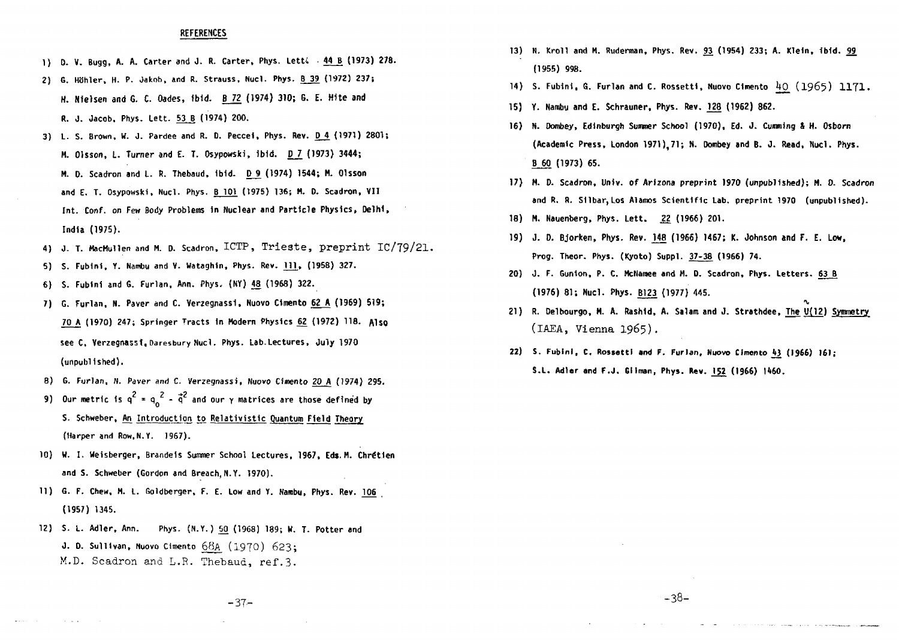## **REFERENCES**

- 1) D. V. Bugg, A. A. Carter and J. R. Carter, Phys. Lett4 44 B (1973) 278.
- **2} 6. HiShler, H. P. Jakob, and R. Strauss, Nucl. Phys. B 39 (1972) 237; H. Nielsen and G. C. Oades, 1b1d. BJ Z (1974) 310; G. E. HH e and R. J. Jacob, Phys. Lett. 53 B (1974) 200.**
- **3) L. S. Brown, H. J. Pardee and R. 0. Peccel, Phys. Rev. j M (1971) 2801; M. Olsson, L. Turner and E. T. Osypowski, 1b1d. D\_7 (1973) 3444; M. D. Scadron and L. R. Thebaud. Ibid. D\_9 (1974) 1544; M. Olsson and E. T. Osypowski, Nucl. Phys. B 101 (1975) 136; M. D. Scadron, VII Int. Conf. on Few Body Problems in Nuclear and Particle Physics, Delhi, India (1975).**
- 4) J. T. HacHulien and M. D. Scadron, ICTP, Trieste, preprint IC/79/21.
- **5) S. Fubini, Y. Nambu and V. Wataghin, Phys. Rev. JJi, (1958) 327.**
- **6) S. Fubini and G. Furlan, Ann. Phys, (NY) 48 (1968) 322.**
- **7) G. Furlan. N. Paver and C. Verzegnassi, Nuovo Cimento 62 A (1969) 619; 70 A (1970) 247; Springer Tracts In Modem Physics 62 (1972) 118. Also, see C, Verzegnasst, Daresbury Nucl. Phys. Lab.Lectures, July 1970 (unpublished).**
- **8) G. Furlan, N. Paver and C. Verzegnassi, Nuovo Cimento 20 A (1974) 295. 9)** Our metric is  $q^2 = q_0^2 - \dot{q}^2$  and our  $\gamma$  matrices are those defined by
- **S. Schweber, An Introduction to Relativistic Quantum Field Theory (Harper and Row.N.Y. 1967).**
- **10) W. I. Weisberger, Brandeis Summer School Lectures, 1967, Eds. M. Chretien and S. Schweber (Gordon and Breach, N.Y. 1970).**
- **11) G. F. Chew, H. L. Goidberger, F. E. Low and Y. Nambu, Phys. Rev. J06 . (1957) 1345.**
- **12) S. L. Adler, Ann. Phys. (N.Y.) GO (1968) 189; W. T. Potter and J. D. Sullivan, Nuovo Cimento 68A (1970) 623; M.D.** Scadron and **L.R.** Thebaud, ref.3.

**Contractor** 

- **13) N. Kroll and M. Ruderman, Phys. Rev. 93 (1954) 233; A. Klein, ibid. 99. (1955) 998.**
- **14) S. Fubini, G. Furlan and C. Rossetti, Nuovo Cimento l+0\_ (1965 ) 1171 .**
- **15) Y. Nambu and E. Schrauner, Phys. Rev. |Z8 (1962) 862.**
- **16) N. Dombey, Edinburgh Summer School (1970), Ed. J. Cumming & H. Osborn (Academic Press, London 1971),71; N. Dombey and B. J. Read, Nucl. Phys. B 60 (1973) 65.**
- **17) H. D. Scadron, Univ. of Arizona preprint 1970 (unpublished); M. 0. Scadron and R. R. Silbar, Los Alamos Scientific Lab. preprint 1970 (unpublished).**
- **18) M. Nauenberg, Phys. Lett, 22 (1966) 201.**
- **19) J. 0. Bjorken, Phys. Rev. J48 (1966) 1467; K. Johnson and F. E. Low, Prog. Theor. Phys. (Kyoto) Suppl. 37-38 (1966) 74.**
- **20) J. F. Gunion, P. C. McNamee and M. D. Scadron, Phys. Letters. 63 B (1976) 81; Nucl. Phys. B123 (1977) 445.**
- **21) R. Deibourgo, H. A. Rashid, A. Sal am and J. Strathdee, The U(12) Symmetry (IAEA, Vienna 1965).**
- **22) S. Fubini, C, Rossetti and F. Furlan, Nuovo Cimento 43 (1966) 161; S.L. Adter and F.J. Gl Irian, Phys. Rev. |52 (I966) 1460.**

-38-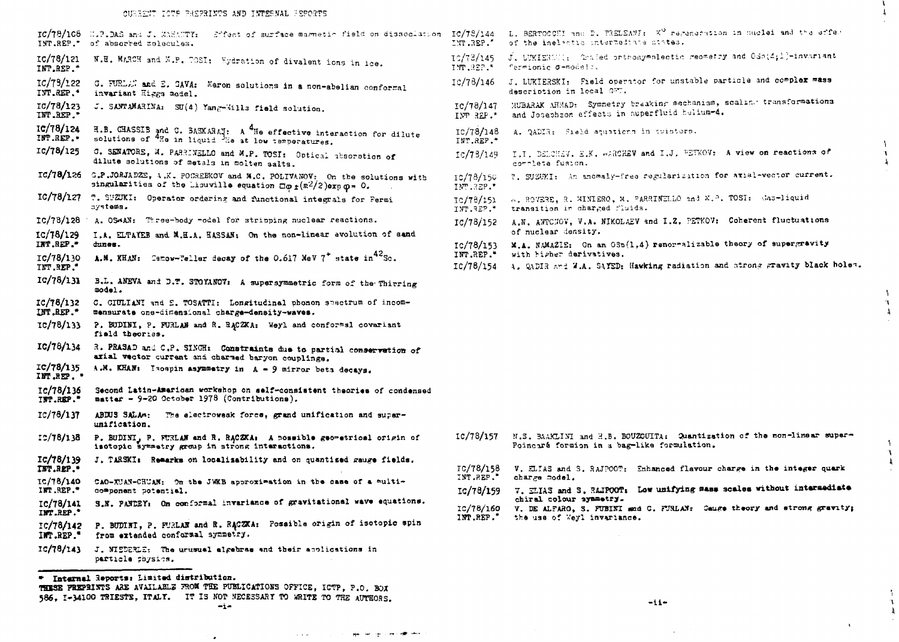- TNT.REP." of absorbed molecules.
- N.H. MARCH and M.P. TOSI: Eydration of divalent ions in ice. IC/78/121 INT.REP."
- $1C/79/122$ G. FURLEN and E. GAVA: Meron solutions in a non-abelian conformal **TYP REP.\*** invariant Higgs model.
- $IC/78/123$ J. SANTAMARINA: SU(4) Yang-Eills field solution. INT.REP.
- H.B. GHASSIB and G. BASKARAN: A 4He effective interaction for dilute  $1C/78/124$ solutions of 4He in liquid 3He at low temperatures. INT.REP.
- $IC/78/125$ G. SEWATORE, M. PARRINELLO and M.P. TOSI: Optical absoration of dilute solutions of metals in molten salts.
- IC/78/126 G.P.JORJADZE, A.K. POGREBKOV and M.C. POLIVANOV: On the solutions with singularities of the Liouville equation  $\Box \phi_{\perp}(\pi^2/2)$ erp  $\phi = 0$ .
- IC/78/127 T. SUZUKI: Operator ordering and functional integrals for Fermi systems.
- TC/78/128 A. OSMAN: Three-body model for stripping nuclear reactions.
- IC/78/129 I.A. ELTAYEB and M.H.A. HASSAN: On the non-linear evolution of sand INT.REP." dunes.
- A.M. KHAN: Camow-Teller decay of the 0.617 MeV 7<sup>+</sup> state in<sup>42</sup>Sc. IC/78/130 INT.REP."
- IC/78/131 B.L. ANEVA and D.T. STOYANOV: A supersymmetric form of the Thirring model.
- $IC/78/132$ C. GIULIANI and E. TOSATTI: Longitudinal phonon spectrum of incom-INT.REP.\* mensurate one-dimensional charge-density-waves.
- IC/78/133 P. EUDINI, P. FURLAN and R. RACZKA: Weyl and conformal covariant field theories.
- $IC/78/134$ R. PRASAD and C.P. SINGH: Constraints due to partial conservation of arial vector current and charmed baryon couplings.
- IC/78/135 A.M. KHAN: Isospin asymmetry in A 9 mirror beta decays. IMT.REP. \*
- IC/78/136 Second Latin-American workshop on self-consistent theories of condensed matter - 9-20 October 1978 (Contributions). INT.REP.
- $TC/78/137$ ABDUS SALAM: The electroweak force, grand unification and superunification.
- IC/78/138 P. BUDINI, P. FURLAN and R. RACZKA: A possible geometrical origin of isotopic symmetry group in strong interactions.
- IC/78/139 J. TARSKI: Remarks on localizability and on quantized gauge fields. INT.REP.
- IC/78/140 CAO-XUAN-CHUAN: On the JWKB approximation in the case of a multi-INT.REP." component potential.
- S.N. PANDEY: On conformal invariance of gravitational wave equations.  $IC/78/14I$ INT.REP.
- IC/78/142 P. BUDINI, P. FURLAN and R. RACZKA: Possible origin of isotopic spin from extended conformal symmetry. INT REP."

 $\sim 100$  km s  $^{-1}$ 

application of the complete complete service

IC/78/143 J. NIEDERLE: The urusual algebras and their applications in particle fhysics.

- IC/78/108 N.P.DAS and J. MARAUTI: Sofeet of surface magnetic field on dissociation IC/78/144 L. BERTOCOHI and D. TRELEANI: K<sup>0</sup> regeneration in nuclei and the effect of the inelactic intermediate ciates. " PER. TVI
	- IS/73/145 J. UNIERSHI: Trafed prthosymplectic reometry and OSp(4:1)-invariant **INT.32P.\*** fermionic d-model:
	- IC/78/146 J. LUKIERSKI: Field operator for unstable particle and complex mass description in local OFT.
	- NUBARAK AHMAD: Symmetry breaking mechanism, scaling transformations  $IC/78/147$
	- and Josephson effects in superfluid helium-4. TNP RRP \*
	- IC/78/148 A. GADIR: Field equations in twisters.
	- INT.REP.\*
	- IC/78/149 I.I. DELCHEV. E.K. WARCHEV and I.J. PETKOV: A view on reactions of corrleta fusion.

 $\mathbf{u}$ 

Π.,

A.

 $\mathbf{T}$ 

п.

 $\frac{1}{2}$ 

- IC/78/150 T. SUZUKI: An anomaly-free regularization for axial-vector current. **INT.32P."**
- IC/78/151 A. ROVERE, R. MINIERO, M. PARRINELLO and M.P. TOSI: Cas-liquid
- $TNT$   $PTP$   $*$ transition in charged fluids.
- IC/78/152 A.N. ANTONOV, V.A. NIKOLAEV and I.Z. PETKOV: Coherent fluctuations of nuclear density.
- M.A. NAMAZIE: On an OSn(1.4) renormalizable theory of supergravity IC/78/153
- with higher derivatives. INT.REP."
- IC/78/154 A. QADIR and W.A. SAYED: Hawking radiation and strong gravity black holes.

- IC/78/157 N.S. BAAKLINI and H.B. BOUZOUITA: Quantization of the non-linear super-Poincaré formion in a bag-like formulation.
- IC/78/158 V. ELIAS and S. RAJPOOT: Enhanced flavour charge in the integer quark INT.REP. charge Sodel.
- V. ELIAS and S. RAIPOOT: Low unifying mass scales without intersediate  $IC/78/159$ chiral colour symmetry.
- $10/78/160$ V. DE ALFARO, S. FUBINI and C. FURLAN: Cauge theory and strong gravity; INT REP." the use of Weyl invariance.

<sup>\*</sup> Internal Reports: Limited distribution.

THESE PREPRINTS ARE AVAILABLE FROM THE PUBLICATIONS OFFICE, ICTP. P.O. BOX 586. I-34100 TRIESTE, ITALY. IT IS NOT NECESSARY TO WRITE TO THE AUTHORS. د (د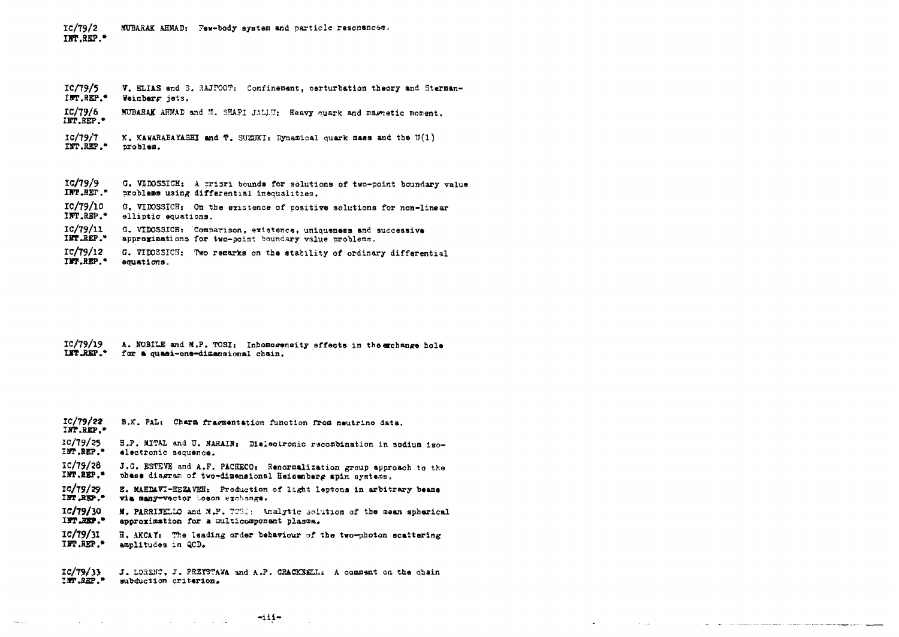$IC/79/2$ MUBARAK AHMAD: Few-body system and particle resonances. TNT.REP.\*

| IC/79/5 |                          | V. ELIAS and S. RAJPOOT: Confinement, perturbation theory and Sterman- |
|---------|--------------------------|------------------------------------------------------------------------|
|         | INT.REP." Weinberg jets. |                                                                        |

 $IC/79/6$ MUBARAK AHMAD and M. SHAPI JALLU: Heavy quark and magnetic moment. INT.REP.

 $IC/79/7$ K. KAWARABAYASHI and T. SUZUKI: Dynamical quark mass and the  $U(1)$ INT.REP." problem.

- IC/79/9 G. VIDOSSICH: A priori bounds for solutions of two-point boundary value INT.REP." problems using differential inequalities.
- $IC/79/10$ G. VIDOSSICH: On the existence of positive solutions for non-linear INT REP. elliptic equations.
- $IC/79/11$ G. VIDOSSICH: Comparison. existence, uniqueness and successive INT.REP.\*
- approximations for two-point boundary value problems.
- $IC/79/12$ G. VIDOSSICH: Two remarks on the stability of ordinary differential THT REP." aquations.

- $IC/79/19$ A. NOBILE and M.P. TOSI: Inbomogeneity affects in the exchange hole INT.REP. \* for a quasi-one-dimensional chain.
- $IC/79/22$ B.K. PAL: Charm fragmentation function from neutrino data. INT REP."
- IC/79/25 H.P. MITAL and U. NARAIN: Dielectronic recombination in sodium iso-INT.REP. electronic sequence.
- IC/79/28 J.C. ESTEVE and A.F. PACHECO: Renormalization group approach to the INT.REP. thase diagram of two-dimensional Heisenberg spin systems.
- $IC/79/29$ E. MAHDAVI-HEZAVEH: Production of light leptons in arbitrary beams IFT REP. via many-vector beson exchange.
- $IC/79/30$ M. PARRINELLO and M.P. TOSE: Analytic solution of the mean spherical IFT REP. approximation for a multicomponent plasma.
- $IC/79/3I$ H. AKCAY: The leading order behaviour of the two-photon scattering IFT.REP. amplitudes in QCD.
- $IC/79/33$ J. LORENC, J. PRZYSTAWA and A.P. CRACKNELL: A comment on the chain subduction criterion. INT REP."

and the state of the state of the

state of the country

and the company

.<br>1990 – In the State Court Commercial Contrast of the Court Alexander and American Schwartz of the State of the